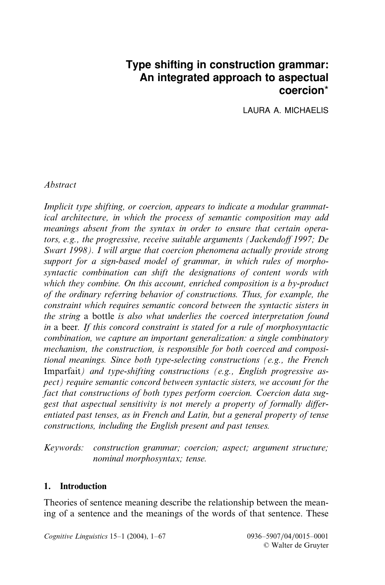# Type shifting in construction grammar: An integrated approach to aspectual coercion\*

LAURA A. MICHAELIS

#### Abstract

Implicit type shifting, or coercion, appears to indicate a modular grammatical architecture, in which the process of semantic composition may add meanings absent from the syntax in order to ensure that certain operators, e.g., the progressive, receive suitable arguments (Jackendoff 1997; De Swart 1998). I will argue that coercion phenomena actually provide strong support for a sign-based model of grammar, in which rules of morphosyntactic combination can shift the designations of content words with which they combine. On this account, enriched composition is a by-product of the ordinary referring behavior of constructions. Thus, for example, the constraint which requires semantic concord between the syntactic sisters in the string a bottle is also what underlies the coerced interpretation found in a beer. If this concord constraint is stated for a rule of morphosyntactic combination, we capture an important generalization: a single combinatory mechanism, the construction, is responsible for both coerced and compositional meanings. Since both type-selecting constructions (e.g., the French Imparfait) and type-shifting constructions (e.g., English progressive aspect) require semantic concord between syntactic sisters, we account for the fact that constructions of both types perform coercion. Coercion data suggest that aspectual sensitivity is not merely a property of formally differentiated past tenses, as in French and Latin, but a general property of tense constructions, including the English present and past tenses.

Keywords: construction grammar; coercion; aspect; argument structure; nominal morphosyntax; tense.

#### 1. Introduction

Theories of sentence meaning describe the relationship between the meaning of a sentence and the meanings of the words of that sentence. These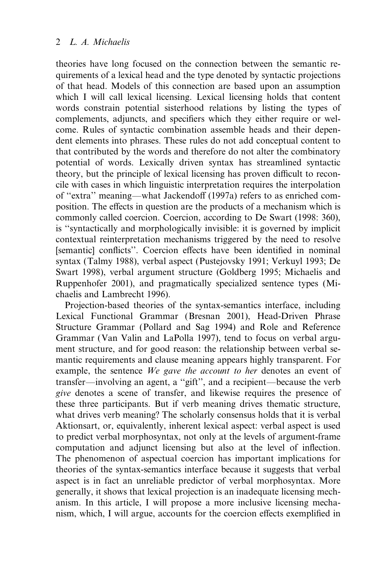theories have long focused on the connection between the semantic requirements of a lexical head and the type denoted by syntactic projections of that head. Models of this connection are based upon an assumption which I will call lexical licensing. Lexical licensing holds that content words constrain potential sisterhood relations by listing the types of complements, adjuncts, and specifiers which they either require or welcome. Rules of syntactic combination assemble heads and their dependent elements into phrases. These rules do not add conceptual content to that contributed by the words and therefore do not alter the combinatory potential of words. Lexically driven syntax has streamlined syntactic theory, but the principle of lexical licensing has proven difficult to reconcile with cases in which linguistic interpretation requires the interpolation of "extra" meaning—what Jackendoff (1997a) refers to as enriched composition. The effects in question are the products of a mechanism which is commonly called coercion. Coercion, according to De Swart (1998: 360), is ''syntactically and morphologically invisible: it is governed by implicit contextual reinterpretation mechanisms triggered by the need to resolve [semantic] conflicts". Coercion effects have been identified in nominal syntax (Talmy 1988), verbal aspect (Pustejovsky 1991; Verkuyl 1993; De Swart 1998), verbal argument structure (Goldberg 1995; Michaelis and Ruppenhofer 2001), and pragmatically specialized sentence types (Michaelis and Lambrecht 1996).

Projection-based theories of the syntax-semantics interface, including Lexical Functional Grammar (Bresnan 2001), Head-Driven Phrase Structure Grammar (Pollard and Sag 1994) and Role and Reference Grammar (Van Valin and LaPolla 1997), tend to focus on verbal argument structure, and for good reason: the relationship between verbal semantic requirements and clause meaning appears highly transparent. For example, the sentence We gave the account to her denotes an event of transfer—involving an agent, a ''gift'', and a recipient—because the verb give denotes a scene of transfer, and likewise requires the presence of these three participants. But if verb meaning drives thematic structure, what drives verb meaning? The scholarly consensus holds that it is verbal Aktionsart, or, equivalently, inherent lexical aspect: verbal aspect is used to predict verbal morphosyntax, not only at the levels of argument-frame computation and adjunct licensing but also at the level of inflection. The phenomenon of aspectual coercion has important implications for theories of the syntax-semantics interface because it suggests that verbal aspect is in fact an unreliable predictor of verbal morphosyntax. More generally, it shows that lexical projection is an inadequate licensing mechanism. In this article, I will propose a more inclusive licensing mechanism, which, I will argue, accounts for the coercion effects exemplified in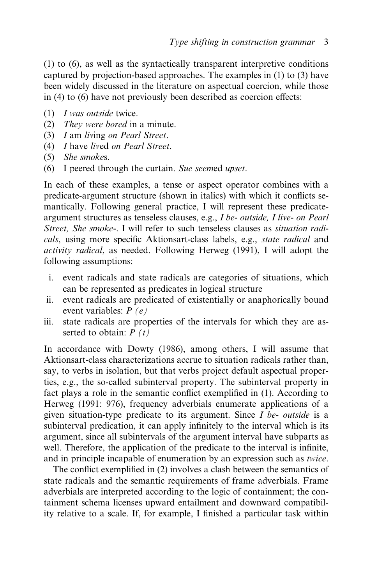(1) to (6), as well as the syntactically transparent interpretive conditions captured by projection-based approaches. The examples in (1) to (3) have been widely discussed in the literature on aspectual coercion, while those in  $(4)$  to  $(6)$  have not previously been described as coercion effects:

- (1) I was outside twice.
- (2) They were bored in a minute.
- (3) I am living on Pearl Street.
- (4) I have lived on Pearl Street.
- (5) She smokes.
- (6) I peered through the curtain. Sue seemed upset.

In each of these examples, a tense or aspect operator combines with a predicate-argument structure (shown in italics) with which it conflicts semantically. Following general practice, I will represent these predicateargument structures as tenseless clauses, e.g., I be- outside, I live- on Pearl Street, She smoke-. I will refer to such tenseless clauses as situation radicals, using more specific Aktionsart-class labels, e.g., state radical and activity radical, as needed. Following Herweg (1991), I will adopt the following assumptions:

- i. event radicals and state radicals are categories of situations, which can be represented as predicates in logical structure
- ii. event radicals are predicated of existentially or anaphorically bound event variables: P (e)
- iii. state radicals are properties of the intervals for which they are asserted to obtain:  $P(t)$

In accordance with Dowty (1986), among others, I will assume that Aktionsart-class characterizations accrue to situation radicals rather than, say, to verbs in isolation, but that verbs project default aspectual properties, e.g., the so-called subinterval property. The subinterval property in fact plays a role in the semantic conflict exemplified in (1). According to Herweg (1991: 976), frequency adverbials enumerate applications of a given situation-type predicate to its argument. Since  $I$  be- outside is a subinterval predication, it can apply infinitely to the interval which is its argument, since all subintervals of the argument interval have subparts as well. Therefore, the application of the predicate to the interval is infinite, and in principle incapable of enumeration by an expression such as twice.

The conflict exemplified in (2) involves a clash between the semantics of state radicals and the semantic requirements of frame adverbials. Frame adverbials are interpreted according to the logic of containment; the containment schema licenses upward entailment and downward compatibility relative to a scale. If, for example, I finished a particular task within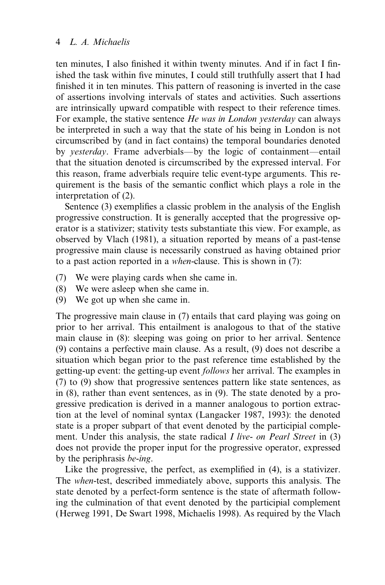ten minutes, I also finished it within twenty minutes. And if in fact I finished the task within five minutes, I could still truthfully assert that I had finished it in ten minutes. This pattern of reasoning is inverted in the case of assertions involving intervals of states and activities. Such assertions are intrinsically upward compatible with respect to their reference times. For example, the stative sentence He was in London vesterday can always be interpreted in such a way that the state of his being in London is not circumscribed by (and in fact contains) the temporal boundaries denoted by yesterday. Frame adverbials—by the logic of containment—entail that the situation denoted is circumscribed by the expressed interval. For this reason, frame adverbials require telic event-type arguments. This requirement is the basis of the semantic conflict which plays a role in the interpretation of (2).

Sentence (3) exemplifies a classic problem in the analysis of the English progressive construction. It is generally accepted that the progressive operator is a stativizer; stativity tests substantiate this view. For example, as observed by Vlach (1981), a situation reported by means of a past-tense progressive main clause is necessarily construed as having obtained prior to a past action reported in a when-clause. This is shown in (7):

- (7) We were playing cards when she came in.
- (8) We were asleep when she came in.
- (9) We got up when she came in.

The progressive main clause in (7) entails that card playing was going on prior to her arrival. This entailment is analogous to that of the stative main clause in (8): sleeping was going on prior to her arrival. Sentence (9) contains a perfective main clause. As a result, (9) does not describe a situation which began prior to the past reference time established by the getting-up event: the getting-up event follows her arrival. The examples in (7) to (9) show that progressive sentences pattern like state sentences, as in (8), rather than event sentences, as in (9). The state denoted by a progressive predication is derived in a manner analogous to portion extraction at the level of nominal syntax (Langacker 1987, 1993): the denoted state is a proper subpart of that event denoted by the participial complement. Under this analysis, the state radical *I live- on Pearl Street* in (3) does not provide the proper input for the progressive operator, expressed by the periphrasis be-ing.

Like the progressive, the perfect, as exemplified in (4), is a stativizer. The when-test, described immediately above, supports this analysis. The state denoted by a perfect-form sentence is the state of aftermath following the culmination of that event denoted by the participial complement (Herweg 1991, De Swart 1998, Michaelis 1998). As required by the Vlach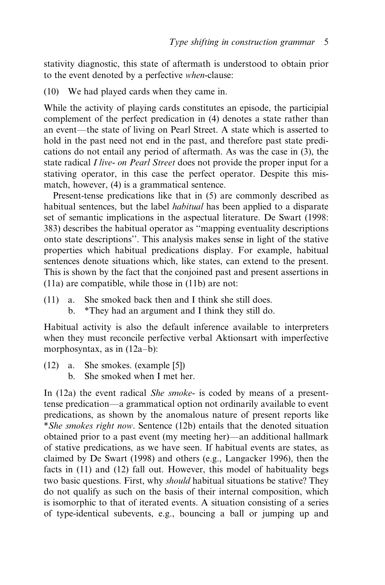stativity diagnostic, this state of aftermath is understood to obtain prior to the event denoted by a perfective when-clause:

(10) We had played cards when they came in.

While the activity of playing cards constitutes an episode, the participial complement of the perfect predication in (4) denotes a state rather than an event—the state of living on Pearl Street. A state which is asserted to hold in the past need not end in the past, and therefore past state predications do not entail any period of aftermath. As was the case in (3), the state radical *I live- on Pearl Street* does not provide the proper input for a stativing operator, in this case the perfect operator. Despite this mismatch, however, (4) is a grammatical sentence.

Present-tense predications like that in (5) are commonly described as habitual sentences, but the label *habitual* has been applied to a disparate set of semantic implications in the aspectual literature. De Swart (1998: 383) describes the habitual operator as ''mapping eventuality descriptions onto state descriptions''. This analysis makes sense in light of the stative properties which habitual predications display. For example, habitual sentences denote situations which, like states, can extend to the present. This is shown by the fact that the conjoined past and present assertions in (11a) are compatible, while those in (11b) are not:

- (11) a. She smoked back then and I think she still does.
	- b. \*They had an argument and I think they still do.

Habitual activity is also the default inference available to interpreters when they must reconcile perfective verbal Aktionsart with imperfective morphosyntax, as in (12a–b):

(12) a. She smokes. (example [5])

b. She smoked when I met her.

In (12a) the event radical *She smoke*- is coded by means of a presenttense predication—a grammatical option not ordinarily available to event predications, as shown by the anomalous nature of present reports like \*She smokes right now. Sentence (12b) entails that the denoted situation obtained prior to a past event (my meeting her)—an additional hallmark of stative predications, as we have seen. If habitual events are states, as claimed by De Swart (1998) and others (e.g., Langacker 1996), then the facts in (11) and (12) fall out. However, this model of habituality begs two basic questions. First, why *should* habitual situations be stative? They do not qualify as such on the basis of their internal composition, which is isomorphic to that of iterated events. A situation consisting of a series of type-identical subevents, e.g., bouncing a ball or jumping up and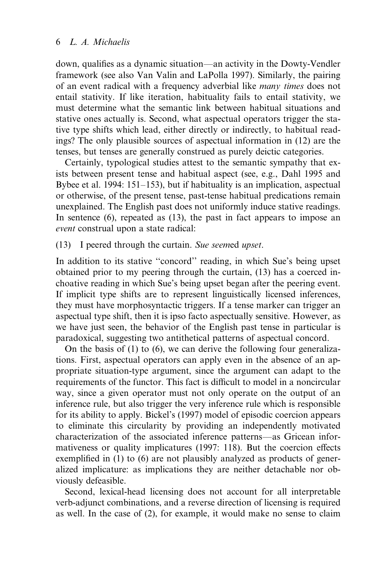down, qualifies as a dynamic situation—an activity in the Dowty-Vendler framework (see also Van Valin and LaPolla 1997). Similarly, the pairing of an event radical with a frequency adverbial like many times does not entail stativity. If like iteration, habituality fails to entail stativity, we must determine what the semantic link between habitual situations and stative ones actually is. Second, what aspectual operators trigger the stative type shifts which lead, either directly or indirectly, to habitual readings? The only plausible sources of aspectual information in (12) are the tenses, but tenses are generally construed as purely deictic categories.

Certainly, typological studies attest to the semantic sympathy that exists between present tense and habitual aspect (see, e.g., Dahl 1995 and Bybee et al. 1994: 151–153), but if habituality is an implication, aspectual or otherwise, of the present tense, past-tense habitual predications remain unexplained. The English past does not uniformly induce stative readings. In sentence (6), repeated as (13), the past in fact appears to impose an event construal upon a state radical:

(13) I peered through the curtain. Sue seemed upset.

In addition to its stative ''concord'' reading, in which Sue's being upset obtained prior to my peering through the curtain, (13) has a coerced inchoative reading in which Sue's being upset began after the peering event. If implicit type shifts are to represent linguistically licensed inferences, they must have morphosyntactic triggers. If a tense marker can trigger an aspectual type shift, then it is ipso facto aspectually sensitive. However, as we have just seen, the behavior of the English past tense in particular is paradoxical, suggesting two antithetical patterns of aspectual concord.

On the basis of (1) to (6), we can derive the following four generalizations. First, aspectual operators can apply even in the absence of an appropriate situation-type argument, since the argument can adapt to the requirements of the functor. This fact is difficult to model in a noncircular way, since a given operator must not only operate on the output of an inference rule, but also trigger the very inference rule which is responsible for its ability to apply. Bickel's (1997) model of episodic coercion appears to eliminate this circularity by providing an independently motivated characterization of the associated inference patterns—as Gricean informativeness or quality implicatures  $(1997: 118)$ . But the coercion effects exemplified in (1) to (6) are not plausibly analyzed as products of generalized implicature: as implications they are neither detachable nor obviously defeasible.

Second, lexical-head licensing does not account for all interpretable verb-adjunct combinations, and a reverse direction of licensing is required as well. In the case of (2), for example, it would make no sense to claim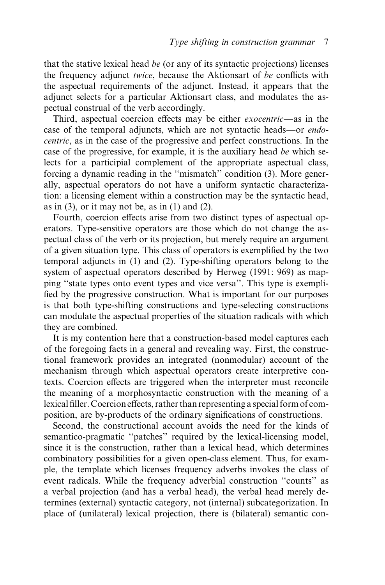that the stative lexical head be (or any of its syntactic projections) licenses the frequency adjunct *twice*, because the Aktionsart of *be* conflicts with the aspectual requirements of the adjunct. Instead, it appears that the adjunct selects for a particular Aktionsart class, and modulates the aspectual construal of the verb accordingly.

Third, aspectual coercion effects may be either *exocentric*—as in the case of the temporal adjuncts, which are not syntactic heads—or endocentric, as in the case of the progressive and perfect constructions. In the case of the progressive, for example, it is the auxiliary head be which selects for a participial complement of the appropriate aspectual class, forcing a dynamic reading in the ''mismatch'' condition (3). More generally, aspectual operators do not have a uniform syntactic characterization: a licensing element within a construction may be the syntactic head, as in  $(3)$ , or it may not be, as in  $(1)$  and  $(2)$ .

Fourth, coercion effects arise from two distinct types of aspectual operators. Type-sensitive operators are those which do not change the aspectual class of the verb or its projection, but merely require an argument of a given situation type. This class of operators is exemplified by the two temporal adjuncts in (1) and (2). Type-shifting operators belong to the system of aspectual operators described by Herweg (1991: 969) as mapping ''state types onto event types and vice versa''. This type is exemplified by the progressive construction. What is important for our purposes is that both type-shifting constructions and type-selecting constructions can modulate the aspectual properties of the situation radicals with which they are combined.

It is my contention here that a construction-based model captures each of the foregoing facts in a general and revealing way. First, the constructional framework provides an integrated (nonmodular) account of the mechanism through which aspectual operators create interpretive contexts. Coercion effects are triggered when the interpreter must reconcile the meaning of a morphosyntactic construction with the meaning of a lexical filler. Coercion effects, rather than representing a special form of composition, are by-products of the ordinary significations of constructions.

Second, the constructional account avoids the need for the kinds of semantico-pragmatic ''patches'' required by the lexical-licensing model, since it is the construction, rather than a lexical head, which determines combinatory possibilities for a given open-class element. Thus, for example, the template which licenses frequency adverbs invokes the class of event radicals. While the frequency adverbial construction ''counts'' as a verbal projection (and has a verbal head), the verbal head merely determines (external) syntactic category, not (internal) subcategorization. In place of (unilateral) lexical projection, there is (bilateral) semantic con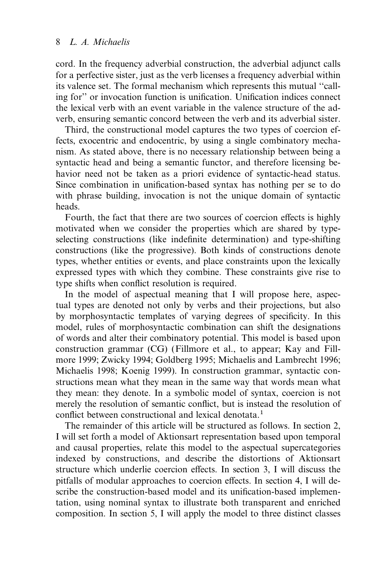cord. In the frequency adverbial construction, the adverbial adjunct calls for a perfective sister, just as the verb licenses a frequency adverbial within its valence set. The formal mechanism which represents this mutual ''calling for'' or invocation function is unification. Unification indices connect the lexical verb with an event variable in the valence structure of the adverb, ensuring semantic concord between the verb and its adverbial sister.

Third, the constructional model captures the two types of coercion effects, exocentric and endocentric, by using a single combinatory mechanism. As stated above, there is no necessary relationship between being a syntactic head and being a semantic functor, and therefore licensing behavior need not be taken as a priori evidence of syntactic-head status. Since combination in unification-based syntax has nothing per se to do with phrase building, invocation is not the unique domain of syntactic heads.

Fourth, the fact that there are two sources of coercion effects is highly motivated when we consider the properties which are shared by typeselecting constructions (like indefinite determination) and type-shifting constructions (like the progressive). Both kinds of constructions denote types, whether entities or events, and place constraints upon the lexically expressed types with which they combine. These constraints give rise to type shifts when conflict resolution is required.

In the model of aspectual meaning that I will propose here, aspectual types are denoted not only by verbs and their projections, but also by morphosyntactic templates of varying degrees of specificity. In this model, rules of morphosyntactic combination can shift the designations of words and alter their combinatory potential. This model is based upon construction grammar (CG) (Fillmore et al., to appear; Kay and Fillmore 1999; Zwicky 1994; Goldberg 1995; Michaelis and Lambrecht 1996; Michaelis 1998; Koenig 1999). In construction grammar, syntactic constructions mean what they mean in the same way that words mean what they mean: they denote. In a symbolic model of syntax, coercion is not merely the resolution of semantic conflict, but is instead the resolution of conflict between constructional and lexical denotata.1

The remainder of this article will be structured as follows. In section 2, I will set forth a model of Aktionsart representation based upon temporal and causal properties, relate this model to the aspectual supercategories indexed by constructions, and describe the distortions of Aktionsart structure which underlie coercion effects. In section 3, I will discuss the pitfalls of modular approaches to coercion effects. In section 4, I will describe the construction-based model and its unification-based implementation, using nominal syntax to illustrate both transparent and enriched composition. In section 5, I will apply the model to three distinct classes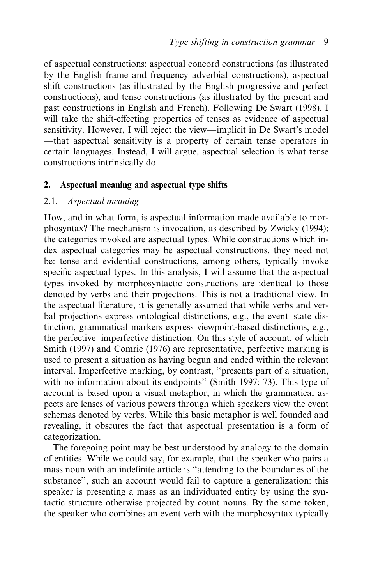of aspectual constructions: aspectual concord constructions (as illustrated by the English frame and frequency adverbial constructions), aspectual shift constructions (as illustrated by the English progressive and perfect constructions), and tense constructions (as illustrated by the present and past constructions in English and French). Following De Swart (1998), I will take the shift-effecting properties of tenses as evidence of aspectual sensitivity. However, I will reject the view—implicit in De Swart's model —that aspectual sensitivity is a property of certain tense operators in certain languages. Instead, I will argue, aspectual selection is what tense constructions intrinsically do.

#### 2. Aspectual meaning and aspectual type shifts

#### 2.1. Aspectual meaning

How, and in what form, is aspectual information made available to morphosyntax? The mechanism is invocation, as described by Zwicky (1994); the categories invoked are aspectual types. While constructions which index aspectual categories may be aspectual constructions, they need not be: tense and evidential constructions, among others, typically invoke specific aspectual types. In this analysis, I will assume that the aspectual types invoked by morphosyntactic constructions are identical to those denoted by verbs and their projections. This is not a traditional view. In the aspectual literature, it is generally assumed that while verbs and verbal projections express ontological distinctions, e.g., the event–state distinction, grammatical markers express viewpoint-based distinctions, e.g., the perfective–imperfective distinction. On this style of account, of which Smith (1997) and Comrie (1976) are representative, perfective marking is used to present a situation as having begun and ended within the relevant interval. Imperfective marking, by contrast, ''presents part of a situation, with no information about its endpoints'' (Smith 1997: 73). This type of account is based upon a visual metaphor, in which the grammatical aspects are lenses of various powers through which speakers view the event schemas denoted by verbs. While this basic metaphor is well founded and revealing, it obscures the fact that aspectual presentation is a form of categorization.

The foregoing point may be best understood by analogy to the domain of entities. While we could say, for example, that the speaker who pairs a mass noun with an indefinite article is ''attending to the boundaries of the substance'', such an account would fail to capture a generalization: this speaker is presenting a mass as an individuated entity by using the syntactic structure otherwise projected by count nouns. By the same token, the speaker who combines an event verb with the morphosyntax typically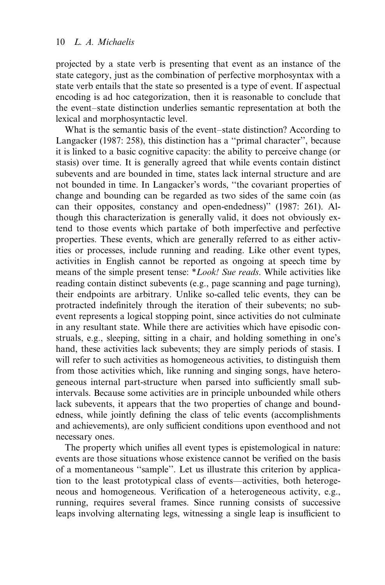projected by a state verb is presenting that event as an instance of the state category, just as the combination of perfective morphosyntax with a state verb entails that the state so presented is a type of event. If aspectual encoding is ad hoc categorization, then it is reasonable to conclude that the event–state distinction underlies semantic representation at both the lexical and morphosyntactic level.

What is the semantic basis of the event–state distinction? According to Langacker (1987: 258), this distinction has a ''primal character'', because it is linked to a basic cognitive capacity: the ability to perceive change (or stasis) over time. It is generally agreed that while events contain distinct subevents and are bounded in time, states lack internal structure and are not bounded in time. In Langacker's words, ''the covariant properties of change and bounding can be regarded as two sides of the same coin (as can their opposites, constancy and open-endedness)'' (1987: 261). Although this characterization is generally valid, it does not obviously extend to those events which partake of both imperfective and perfective properties. These events, which are generally referred to as either activities or processes, include running and reading. Like other event types, activities in English cannot be reported as ongoing at speech time by means of the simple present tense: \*Look! Sue reads. While activities like reading contain distinct subevents (e.g., page scanning and page turning), their endpoints are arbitrary. Unlike so-called telic events, they can be protracted indefinitely through the iteration of their subevents; no subevent represents a logical stopping point, since activities do not culminate in any resultant state. While there are activities which have episodic construals, e.g., sleeping, sitting in a chair, and holding something in one's hand, these activities lack subevents; they are simply periods of stasis. I will refer to such activities as homogeneous activities, to distinguish them from those activities which, like running and singing songs, have heterogeneous internal part-structure when parsed into sufficiently small subintervals. Because some activities are in principle unbounded while others lack subevents, it appears that the two properties of change and boundedness, while jointly defining the class of telic events (accomplishments and achievements), are only sufficient conditions upon eventhood and not necessary ones.

The property which unifies all event types is epistemological in nature: events are those situations whose existence cannot be verified on the basis of a momentaneous ''sample''. Let us illustrate this criterion by application to the least prototypical class of events—activities, both heterogeneous and homogeneous. Verification of a heterogeneous activity, e.g., running, requires several frames. Since running consists of successive leaps involving alternating legs, witnessing a single leap is insufficient to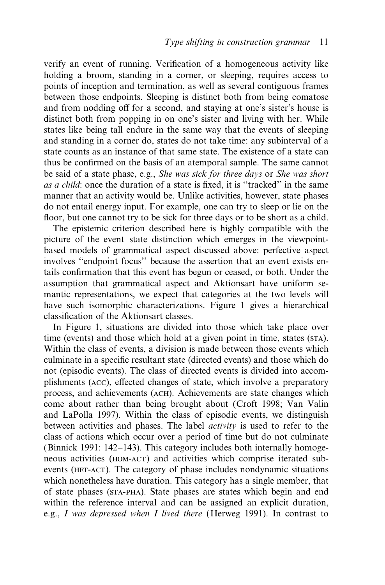verify an event of running. Verification of a homogeneous activity like holding a broom, standing in a corner, or sleeping, requires access to points of inception and termination, as well as several contiguous frames between those endpoints. Sleeping is distinct both from being comatose and from nodding off for a second, and staying at one's sister's house is distinct both from popping in on one's sister and living with her. While states like being tall endure in the same way that the events of sleeping and standing in a corner do, states do not take time: any subinterval of a state counts as an instance of that same state. The existence of a state can thus be confirmed on the basis of an atemporal sample. The same cannot be said of a state phase, e.g., She was sick for three days or She was short as a child: once the duration of a state is fixed, it is "tracked" in the same manner that an activity would be. Unlike activities, however, state phases do not entail energy input. For example, one can try to sleep or lie on the floor, but one cannot try to be sick for three days or to be short as a child.

The epistemic criterion described here is highly compatible with the picture of the event–state distinction which emerges in the viewpointbased models of grammatical aspect discussed above: perfective aspect involves ''endpoint focus'' because the assertion that an event exists entails confirmation that this event has begun or ceased, or both. Under the assumption that grammatical aspect and Aktionsart have uniform semantic representations, we expect that categories at the two levels will have such isomorphic characterizations. Figure 1 gives a hierarchical classification of the Aktionsart classes.

In Figure 1, situations are divided into those which take place over time (events) and those which hold at a given point in time, states (STA). Within the class of events, a division is made between those events which culminate in a specific resultant state (directed events) and those which do not (episodic events). The class of directed events is divided into accomplishments (ACC), effected changes of state, which involve a preparatory process, and achievements (ACH). Achievements are state changes which come about rather than being brought about (Croft 1998; Van Valin and LaPolla 1997). Within the class of episodic events, we distinguish between activities and phases. The label *activity* is used to refer to the class of actions which occur over a period of time but do not culminate (Binnick 1991: 142–143). This category includes both internally homogeneous activities (hom-act) and activities which comprise iterated subevents (HET-ACT). The category of phase includes nondynamic situations which nonetheless have duration. This category has a single member, that of state phases (sta-pha). State phases are states which begin and end within the reference interval and can be assigned an explicit duration, e.g., I was depressed when I lived there (Herweg 1991). In contrast to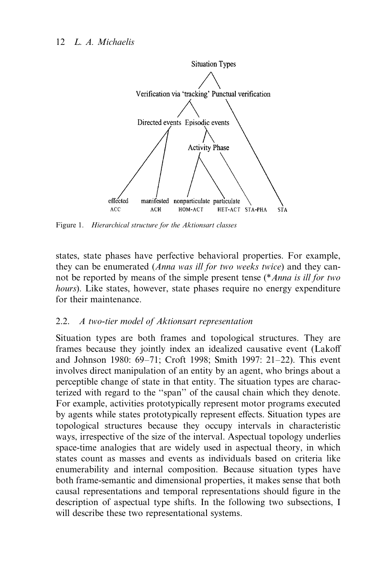

Figure 1. Hierarchical structure for the Aktionsart classes

states, state phases have perfective behavioral properties. For example, they can be enumerated (Anna was ill for two weeks twice) and they cannot be reported by means of the simple present tense (\*Anna is ill for two hours). Like states, however, state phases require no energy expenditure for their maintenance.

#### 2.2. A two-tier model of Aktionsart representation

Situation types are both frames and topological structures. They are frames because they jointly index an idealized causative event (Lakoff and Johnson 1980: 69–71; Croft 1998; Smith 1997: 21–22). This event involves direct manipulation of an entity by an agent, who brings about a perceptible change of state in that entity. The situation types are characterized with regard to the ''span'' of the causal chain which they denote. For example, activities prototypically represent motor programs executed by agents while states prototypically represent effects. Situation types are topological structures because they occupy intervals in characteristic ways, irrespective of the size of the interval. Aspectual topology underlies space-time analogies that are widely used in aspectual theory, in which states count as masses and events as individuals based on criteria like enumerability and internal composition. Because situation types have both frame-semantic and dimensional properties, it makes sense that both causal representations and temporal representations should figure in the description of aspectual type shifts. In the following two subsections, I will describe these two representational systems.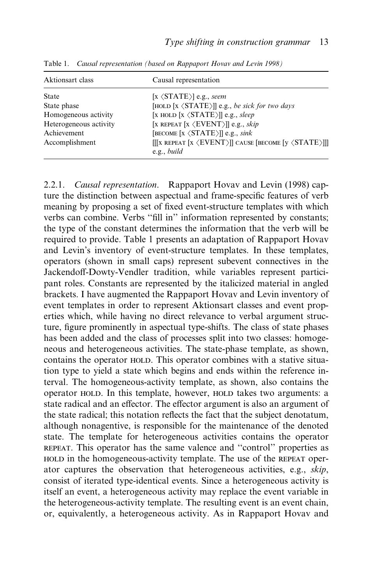| Aktionsart class       | Causal representation                                                                                                         |
|------------------------|-------------------------------------------------------------------------------------------------------------------------------|
| <b>State</b>           | $[x \langle STATE \rangle]$ e.g., seem                                                                                        |
| State phase            | [HOLD [X $\langle$ STATE $\rangle$ ]] e.g., be sick for two days                                                              |
| Homogeneous activity   | [X HOLD [X $\langle$ STATE $\rangle$ ]] e.g., <i>sleep</i>                                                                    |
| Heterogeneous activity | [X REPEAT [X $\langle$ EVENT $\rangle$ ]] e.g., <i>skip</i>                                                                   |
| Achievement            | [BECOME $[x \langle STATE \rangle]$ ] e.g., sink                                                                              |
| Accomplishment         | $[[[x \text{ Repeat } [x \langle \text{EVENT} \rangle]]]$ cause [become [y $\langle \text{STATE} \rangle]]]$ ]<br>e.g., build |

Table 1. Causal representation (based on Rappaport Hovav and Levin 1998)

2.2.1. Causal representation. Rappaport Hovav and Levin (1998) capture the distinction between aspectual and frame-specific features of verb meaning by proposing a set of fixed event-structure templates with which verbs can combine. Verbs ''fill in'' information represented by constants; the type of the constant determines the information that the verb will be required to provide. Table 1 presents an adaptation of Rappaport Hovav and Levin's inventory of event-structure templates. In these templates, operators (shown in small caps) represent subevent connectives in the Jackendoff-Dowty-Vendler tradition, while variables represent participant roles. Constants are represented by the italicized material in angled brackets. I have augmented the Rappaport Hovav and Levin inventory of event templates in order to represent Aktionsart classes and event properties which, while having no direct relevance to verbal argument structure, figure prominently in aspectual type-shifts. The class of state phases has been added and the class of processes split into two classes: homogeneous and heterogeneous activities. The state-phase template, as shown, contains the operator HOLD. This operator combines with a stative situation type to yield a state which begins and ends within the reference interval. The homogeneous-activity template, as shown, also contains the operator HOLD. In this template, however, HOLD takes two arguments: a state radical and an effector. The effector argument is also an argument of the state radical; this notation reflects the fact that the subject denotatum, although nonagentive, is responsible for the maintenance of the denoted state. The template for heterogeneous activities contains the operator repeat. This operator has the same valence and ''control'' properties as hold in the homogeneous-activity template. The use of the repeat operator captures the observation that heterogeneous activities, e.g., skip, consist of iterated type-identical events. Since a heterogeneous activity is itself an event, a heterogeneous activity may replace the event variable in the heterogeneous-activity template. The resulting event is an event chain, or, equivalently, a heterogeneous activity. As in Rappaport Hovav and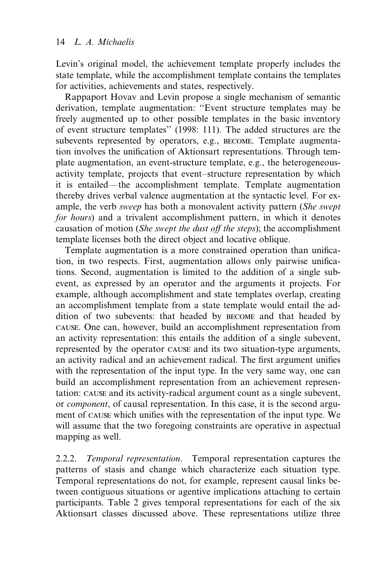Levin's original model, the achievement template properly includes the state template, while the accomplishment template contains the templates for activities, achievements and states, respectively.

Rappaport Hovav and Levin propose a single mechanism of semantic derivation, template augmentation: ''Event structure templates may be freely augmented up to other possible templates in the basic inventory of event structure templates'' (1998: 111). The added structures are the subevents represented by operators, e.g., become. Template augmentation involves the unification of Aktionsart representations. Through template augmentation, an event-structure template, e.g., the heterogeneousactivity template, projects that event–structure representation by which it is entailed—the accomplishment template. Template augmentation thereby drives verbal valence augmentation at the syntactic level. For example, the verb sweep has both a monovalent activity pattern (She swept for hours) and a trivalent accomplishment pattern, in which it denotes causation of motion (She swept the dust off the steps); the accomplishment template licenses both the direct object and locative oblique.

Template augmentation is a more constrained operation than unification, in two respects. First, augmentation allows only pairwise unifications. Second, augmentation is limited to the addition of a single subevent, as expressed by an operator and the arguments it projects. For example, although accomplishment and state templates overlap, creating an accomplishment template from a state template would entail the addition of two subevents: that headed by become and that headed by cause. One can, however, build an accomplishment representation from an activity representation: this entails the addition of a single subevent, represented by the operator cause and its two situation-type arguments, an activity radical and an achievement radical. The first argument unifies with the representation of the input type. In the very same way, one can build an accomplishment representation from an achievement representation: cause and its activity-radical argument count as a single subevent, or component, of causal representation. In this case, it is the second argument of cause which unifies with the representation of the input type. We will assume that the two foregoing constraints are operative in aspectual mapping as well.

2.2.2. Temporal representation. Temporal representation captures the patterns of stasis and change which characterize each situation type. Temporal representations do not, for example, represent causal links between contiguous situations or agentive implications attaching to certain participants. Table 2 gives temporal representations for each of the six Aktionsart classes discussed above. These representations utilize three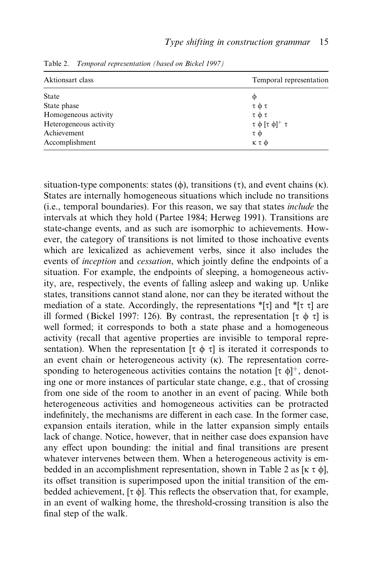| Aktionsart class       | Temporal representation            |  |
|------------------------|------------------------------------|--|
| <b>State</b>           | Φ                                  |  |
| State phase            | τφτ                                |  |
| Homogeneous activity   | τφτ                                |  |
| Heterogeneous activity | $\tau \phi$ $[\tau \phi]^{+} \tau$ |  |
| Achievement            | τφ                                 |  |
| Accomplishment         | κτφ                                |  |

Table 2. Temporal representation (based on Bickel 1997)

situation-type components: states  $(\phi)$ , transitions  $(\tau)$ , and event chains  $(\kappa)$ . States are internally homogeneous situations which include no transitions (i.e., temporal boundaries). For this reason, we say that states include the intervals at which they hold (Partee 1984; Herweg 1991). Transitions are state-change events, and as such are isomorphic to achievements. However, the category of transitions is not limited to those inchoative events which are lexicalized as achievement verbs, since it also includes the events of *inception* and *cessation*, which jointly define the endpoints of a situation. For example, the endpoints of sleeping, a homogeneous activity, are, respectively, the events of falling asleep and waking up. Unlike states, transitions cannot stand alone, nor can they be iterated without the mediation of a state. Accordingly, the representations  $\hat{\tau}$ [ $\tau$ ] and  $\hat{\tau}$ [ $\tau$ ] are ill formed (Bickel 1997: 126). By contrast, the representation  $[\tau \phi \tau]$  is well formed; it corresponds to both a state phase and a homogeneous activity (recall that agentive properties are invisible to temporal representation). When the representation  $[\tau \phi \tau]$  is iterated it corresponds to an event chain or heterogeneous activity  $(\kappa)$ . The representation corresponding to heterogeneous activities contains the notation  $[\tau \phi]^{+}$ , denoting one or more instances of particular state change, e.g., that of crossing from one side of the room to another in an event of pacing. While both heterogeneous activities and homogeneous activities can be protracted indefinitely, the mechanisms are different in each case. In the former case, expansion entails iteration, while in the latter expansion simply entails lack of change. Notice, however, that in neither case does expansion have any effect upon bounding: the initial and final transitions are present whatever intervenes between them. When a heterogeneous activity is embedded in an accomplishment representation, shown in Table 2 as [ $\kappa \tau \phi$ ], its offset transition is superimposed upon the initial transition of the embedded achievement,  $[\tau, \phi]$ . This reflects the observation that, for example, in an event of walking home, the threshold-crossing transition is also the final step of the walk.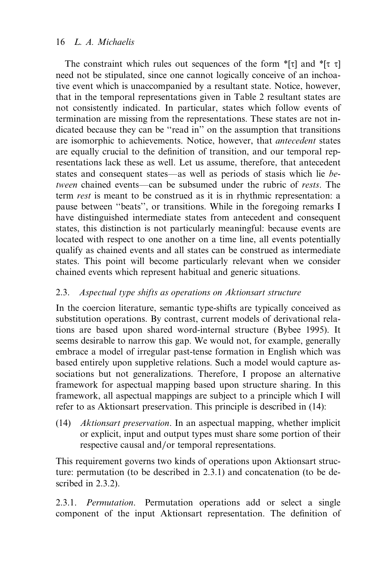The constraint which rules out sequences of the form  $\mathscr{F}[\tau]$  and  $\mathscr{F}[\tau]$ need not be stipulated, since one cannot logically conceive of an inchoative event which is unaccompanied by a resultant state. Notice, however, that in the temporal representations given in Table 2 resultant states are not consistently indicated. In particular, states which follow events of termination are missing from the representations. These states are not indicated because they can be ''read in'' on the assumption that transitions are isomorphic to achievements. Notice, however, that antecedent states are equally crucial to the definition of transition, and our temporal representations lack these as well. Let us assume, therefore, that antecedent states and consequent states—as well as periods of stasis which lie between chained events—can be subsumed under the rubric of rests. The term rest is meant to be construed as it is in rhythmic representation: a pause between ''beats'', or transitions. While in the foregoing remarks I have distinguished intermediate states from antecedent and consequent states, this distinction is not particularly meaningful: because events are located with respect to one another on a time line, all events potentially qualify as chained events and all states can be construed as intermediate states. This point will become particularly relevant when we consider chained events which represent habitual and generic situations.

# 2.3. Aspectual type shifts as operations on Aktionsart structure

In the coercion literature, semantic type-shifts are typically conceived as substitution operations. By contrast, current models of derivational relations are based upon shared word-internal structure (Bybee 1995). It seems desirable to narrow this gap. We would not, for example, generally embrace a model of irregular past-tense formation in English which was based entirely upon suppletive relations. Such a model would capture associations but not generalizations. Therefore, I propose an alternative framework for aspectual mapping based upon structure sharing. In this framework, all aspectual mappings are subject to a principle which I will refer to as Aktionsart preservation. This principle is described in (14):

(14) Aktionsart preservation. In an aspectual mapping, whether implicit or explicit, input and output types must share some portion of their respective causal and/or temporal representations.

This requirement governs two kinds of operations upon Aktionsart structure: permutation (to be described in 2.3.1) and concatenation (to be described in 2.3.2).

2.3.1. Permutation. Permutation operations add or select a single component of the input Aktionsart representation. The definition of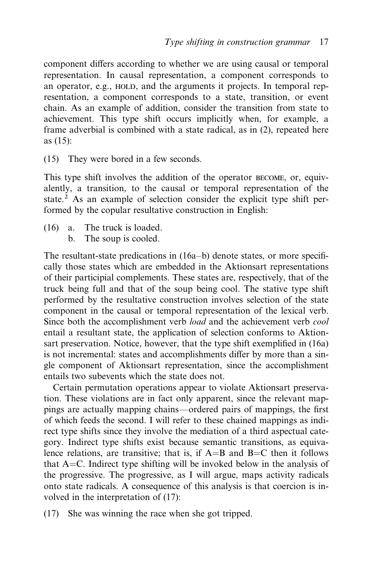component differs according to whether we are using causal or temporal representation. In causal representation, a component corresponds to an operator, e.g., HOLD, and the arguments it projects. In temporal representation, a component corresponds to a state, transition, or event chain. As an example of addition, consider the transition from state to achievement. This type shift occurs implicitly when, for example, a frame adverbial is combined with a state radical, as in (2), repeated here as (15):

(15) They were bored in a few seconds.

This type shift involves the addition of the operator BECOME, or, equivalently, a transition, to the causal or temporal representation of the state.<sup>2</sup> As an example of selection consider the explicit type shift performed by the copular resultative construction in English:

- (16) a. The truck is loaded.
	- b. The soup is cooled.

The resultant-state predications in (16a–b) denote states, or more specifically those states which are embedded in the Aktionsart representations of their participial complements. These states are, respectively, that of the truck being full and that of the soup being cool. The stative type shift performed by the resultative construction involves selection of the state component in the causal or temporal representation of the lexical verb. Since both the accomplishment verb *load* and the achievement verb *cool* entail a resultant state, the application of selection conforms to Aktionsart preservation. Notice, however, that the type shift exemplified in (16a) is not incremental: states and accomplishments differ by more than a single component of Aktionsart representation, since the accomplishment entails two subevents which the state does not.

Certain permutation operations appear to violate Aktionsart preservation. These violations are in fact only apparent, since the relevant mappings are actually mapping chains—ordered pairs of mappings, the first of which feeds the second. I will refer to these chained mappings as indirect type shifts since they involve the mediation of a third aspectual category. Indirect type shifts exist because semantic transitions, as equivalence relations, are transitive; that is, if  $A=B$  and  $B=C$  then it follows that  $A=C$ . Indirect type shifting will be invoked below in the analysis of the progressive. The progressive, as I will argue, maps activity radicals onto state radicals. A consequence of this analysis is that coercion is involved in the interpretation of (17):

(17) She was winning the race when she got tripped.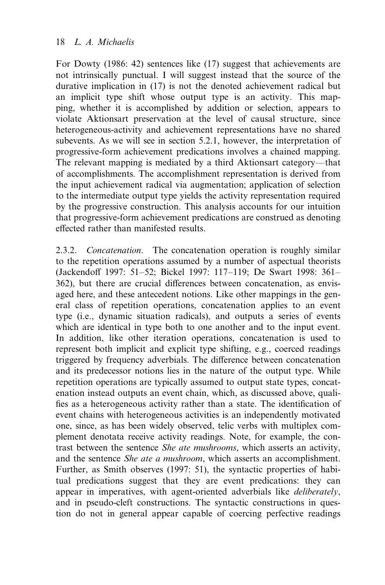For Dowty (1986: 42) sentences like (17) suggest that achievements are not intrinsically punctual. I will suggest instead that the source of the durative implication in (17) is not the denoted achievement radical but an implicit type shift whose output type is an activity. This mapping, whether it is accomplished by addition or selection, appears to violate Aktionsart preservation at the level of causal structure, since heterogeneous-activity and achievement representations have no shared subevents. As we will see in section 5.2.1, however, the interpretation of progressive-form achievement predications involves a chained mapping. The relevant mapping is mediated by a third Aktionsart category—that of accomplishments. The accomplishment representation is derived from the input achievement radical via augmentation; application of selection to the intermediate output type yields the activity representation required by the progressive construction. This analysis accounts for our intuition that progressive-form achievement predications are construed as denoting effected rather than manifested results.

2.3.2. *Concatenation*. The concatenation operation is roughly similar to the repetition operations assumed by a number of aspectual theorists (Jackendo¤ 1997: 51–52; Bickel 1997: 117–119; De Swart 1998: 361– 362), but there are crucial differences between concatenation, as envisaged here, and these antecedent notions. Like other mappings in the general class of repetition operations, concatenation applies to an event type (i.e., dynamic situation radicals), and outputs a series of events which are identical in type both to one another and to the input event. In addition, like other iteration operations, concatenation is used to represent both implicit and explicit type shifting, e.g., coerced readings triggered by frequency adverbials. The difference between concatenation and its predecessor notions lies in the nature of the output type. While repetition operations are typically assumed to output state types, concatenation instead outputs an event chain, which, as discussed above, qualifies as a heterogeneous activity rather than a state. The identification of event chains with heterogeneous activities is an independently motivated one, since, as has been widely observed, telic verbs with multiplex complement denotata receive activity readings. Note, for example, the contrast between the sentence She ate mushrooms, which asserts an activity, and the sentence *She ate a mushroom*, which asserts an accomplishment. Further, as Smith observes (1997: 51), the syntactic properties of habitual predications suggest that they are event predications: they can appear in imperatives, with agent-oriented adverbials like deliberately, and in pseudo-cleft constructions. The syntactic constructions in question do not in general appear capable of coercing perfective readings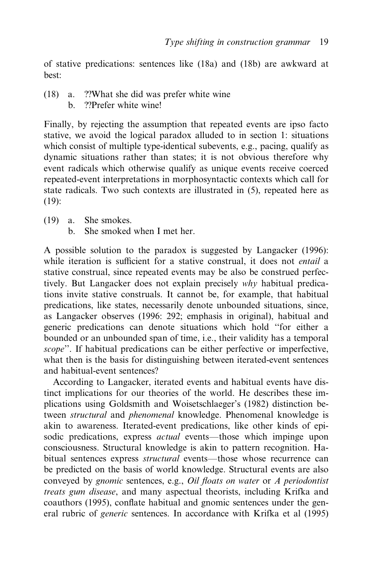of stative predications: sentences like (18a) and (18b) are awkward at best:

(18) a. ??What she did was prefer white wine b. ??Prefer white wine!

Finally, by rejecting the assumption that repeated events are ipso facto stative, we avoid the logical paradox alluded to in section 1: situations which consist of multiple type-identical subevents, e.g., pacing, qualify as dynamic situations rather than states; it is not obvious therefore why event radicals which otherwise qualify as unique events receive coerced repeated-event interpretations in morphosyntactic contexts which call for state radicals. Two such contexts are illustrated in (5), repeated here as (19):

- (19) a. She smokes.
	- b. She smoked when I met her.

A possible solution to the paradox is suggested by Langacker (1996): while iteration is sufficient for a stative construal, it does not *entail* a stative construal, since repeated events may be also be construed perfectively. But Langacker does not explain precisely why habitual predications invite stative construals. It cannot be, for example, that habitual predications, like states, necessarily denote unbounded situations, since, as Langacker observes (1996: 292; emphasis in original), habitual and generic predications can denote situations which hold ''for either a bounded or an unbounded span of time, i.e., their validity has a temporal scope". If habitual predications can be either perfective or imperfective, what then is the basis for distinguishing between iterated-event sentences and habitual-event sentences?

According to Langacker, iterated events and habitual events have distinct implications for our theories of the world. He describes these implications using Goldsmith and Woisetschlaeger's (1982) distinction between *structural* and *phenomenal* knowledge. Phenomenal knowledge is akin to awareness. Iterated-event predications, like other kinds of episodic predications, express *actual* events—those which impinge upon consciousness. Structural knowledge is akin to pattern recognition. Habitual sentences express structural events—those whose recurrence can be predicted on the basis of world knowledge. Structural events are also conveyed by gnomic sentences, e.g., Oil floats on water or A periodontist treats gum disease, and many aspectual theorists, including Krifka and coauthors (1995), conflate habitual and gnomic sentences under the general rubric of generic sentences. In accordance with Krifka et al (1995)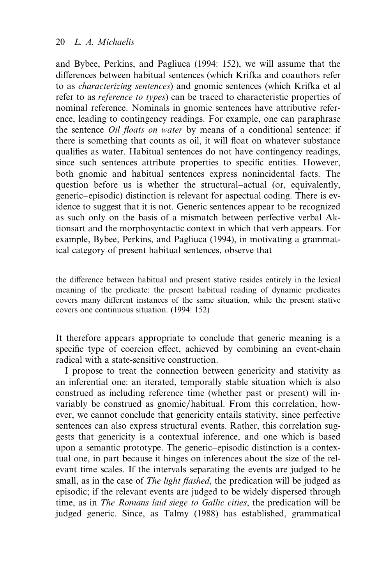and Bybee, Perkins, and Pagliuca (1994: 152), we will assume that the differences between habitual sentences (which Krifka and coauthors refer to as characterizing sentences) and gnomic sentences (which Krifka et al refer to as reference to types) can be traced to characteristic properties of nominal reference. Nominals in gnomic sentences have attributive reference, leading to contingency readings. For example, one can paraphrase the sentence *Oil floats on water* by means of a conditional sentence: if there is something that counts as oil, it will float on whatever substance qualifies as water. Habitual sentences do not have contingency readings, since such sentences attribute properties to specific entities. However, both gnomic and habitual sentences express nonincidental facts. The question before us is whether the structural–actual (or, equivalently, generic–episodic) distinction is relevant for aspectual coding. There is evidence to suggest that it is not. Generic sentences appear to be recognized as such only on the basis of a mismatch between perfective verbal Aktionsart and the morphosyntactic context in which that verb appears. For example, Bybee, Perkins, and Pagliuca (1994), in motivating a grammatical category of present habitual sentences, observe that

the difference between habitual and present stative resides entirely in the lexical meaning of the predicate: the present habitual reading of dynamic predicates covers many different instances of the same situation, while the present stative covers one continuous situation. (1994: 152)

It therefore appears appropriate to conclude that generic meaning is a specific type of coercion effect, achieved by combining an event-chain radical with a state-sensitive construction.

I propose to treat the connection between genericity and stativity as an inferential one: an iterated, temporally stable situation which is also construed as including reference time (whether past or present) will invariably be construed as gnomic/habitual. From this correlation, however, we cannot conclude that genericity entails stativity, since perfective sentences can also express structural events. Rather, this correlation suggests that genericity is a contextual inference, and one which is based upon a semantic prototype. The generic–episodic distinction is a contextual one, in part because it hinges on inferences about the size of the relevant time scales. If the intervals separating the events are judged to be small, as in the case of *The light flashed*, the predication will be judged as episodic; if the relevant events are judged to be widely dispersed through time, as in The Romans laid siege to Gallic cities, the predication will be judged generic. Since, as Talmy (1988) has established, grammatical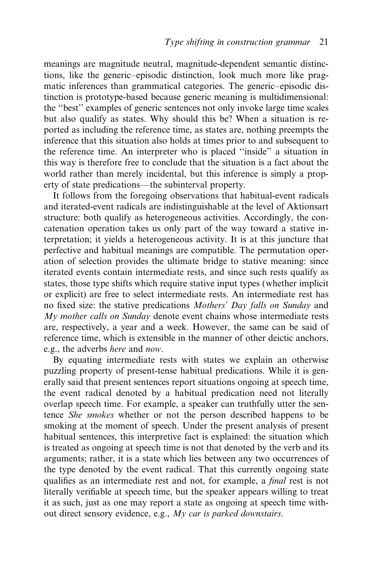meanings are magnitude neutral, magnitude-dependent semantic distinctions, like the generic–episodic distinction, look much more like pragmatic inferences than grammatical categories. The generic–episodic distinction is prototype-based because generic meaning is multidimensional: the ''best'' examples of generic sentences not only invoke large time scales but also qualify as states. Why should this be? When a situation is reported as including the reference time, as states are, nothing preempts the inference that this situation also holds at times prior to and subsequent to the reference time. An interpreter who is placed ''inside'' a situation in this way is therefore free to conclude that the situation is a fact about the world rather than merely incidental, but this inference is simply a property of state predications—the subinterval property.

It follows from the foregoing observations that habitual-event radicals and iterated-event radicals are indistinguishable at the level of Aktionsart structure: both qualify as heterogeneous activities. Accordingly, the concatenation operation takes us only part of the way toward a stative interpretation; it yields a heterogeneous activity. It is at this juncture that perfective and habitual meanings are compatible. The permutation operation of selection provides the ultimate bridge to stative meaning: since iterated events contain intermediate rests, and since such rests qualify as states, those type shifts which require stative input types (whether implicit or explicit) are free to select intermediate rests. An intermediate rest has no fixed size: the stative predications *Mothers' Day falls on Sunday* and My mother calls on Sunday denote event chains whose intermediate rests are, respectively, a year and a week. However, the same can be said of reference time, which is extensible in the manner of other deictic anchors, e.g., the adverbs *here* and *now*.

By equating intermediate rests with states we explain an otherwise puzzling property of present-tense habitual predications. While it is generally said that present sentences report situations ongoing at speech time, the event radical denoted by a habitual predication need not literally overlap speech time. For example, a speaker can truthfully utter the sentence She smokes whether or not the person described happens to be smoking at the moment of speech. Under the present analysis of present habitual sentences, this interpretive fact is explained: the situation which is treated as ongoing at speech time is not that denoted by the verb and its arguments; rather, it is a state which lies between any two occurrences of the type denoted by the event radical. That this currently ongoing state qualifies as an intermediate rest and not, for example, a *final* rest is not literally verifiable at speech time, but the speaker appears willing to treat it as such, just as one may report a state as ongoing at speech time without direct sensory evidence, e.g., My car is parked downstairs.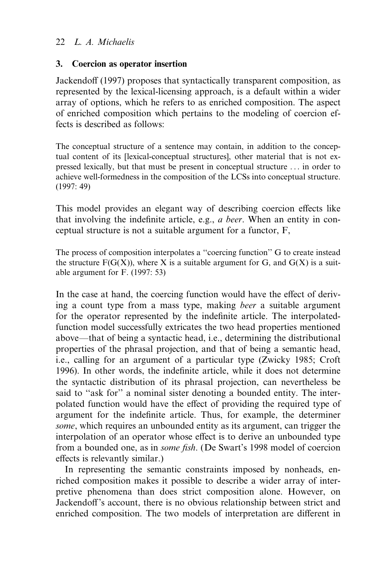# 3. Coercion as operator insertion

Jackendoff (1997) proposes that syntactically transparent composition, as represented by the lexical-licensing approach, is a default within a wider array of options, which he refers to as enriched composition. The aspect of enriched composition which pertains to the modeling of coercion effects is described as follows:

The conceptual structure of a sentence may contain, in addition to the conceptual content of its [lexical-conceptual structures], other material that is not expressed lexically, but that must be present in conceptual structure . . . in order to achieve well-formedness in the composition of the LCSs into conceptual structure. (1997: 49)

This model provides an elegant way of describing coercion effects like that involving the indefinite article, e.g., a beer. When an entity in conceptual structure is not a suitable argument for a functor, F,

The process of composition interpolates a ''coercing function'' G to create instead the structure  $F(G(X))$ , where X is a suitable argument for G, and  $G(X)$  is a suitable argument for F. (1997: 53)

In the case at hand, the coercing function would have the effect of deriving a count type from a mass type, making beer a suitable argument for the operator represented by the indefinite article. The interpolatedfunction model successfully extricates the two head properties mentioned above—that of being a syntactic head, i.e., determining the distributional properties of the phrasal projection, and that of being a semantic head, i.e., calling for an argument of a particular type (Zwicky 1985; Croft 1996). In other words, the indefinite article, while it does not determine the syntactic distribution of its phrasal projection, can nevertheless be said to ''ask for'' a nominal sister denoting a bounded entity. The interpolated function would have the effect of providing the required type of argument for the indefinite article. Thus, for example, the determiner some, which requires an unbounded entity as its argument, can trigger the interpolation of an operator whose effect is to derive an unbounded type from a bounded one, as in some fish. (De Swart's 1998 model of coercion effects is relevantly similar.)

In representing the semantic constraints imposed by nonheads, enriched composition makes it possible to describe a wider array of interpretive phenomena than does strict composition alone. However, on Jackendoff's account, there is no obvious relationship between strict and enriched composition. The two models of interpretation are different in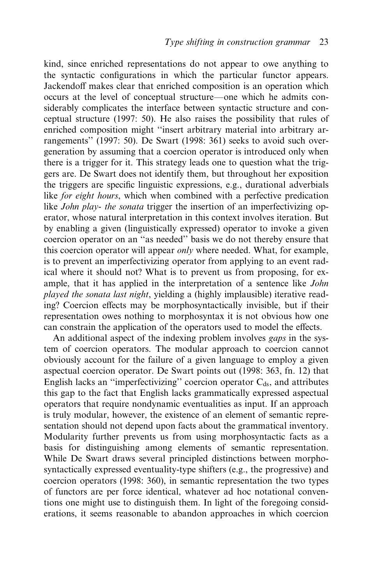kind, since enriched representations do not appear to owe anything to the syntactic configurations in which the particular functor appears. Jackendoff makes clear that enriched composition is an operation which occurs at the level of conceptual structure—one which he admits considerably complicates the interface between syntactic structure and conceptual structure (1997: 50). He also raises the possibility that rules of enriched composition might ''insert arbitrary material into arbitrary arrangements'' (1997: 50). De Swart (1998: 361) seeks to avoid such overgeneration by assuming that a coercion operator is introduced only when there is a trigger for it. This strategy leads one to question what the triggers are. De Swart does not identify them, but throughout her exposition the triggers are specific linguistic expressions, e.g., durational adverbials like for eight hours, which when combined with a perfective predication like *John play- the sonata* trigger the insertion of an imperfectivizing operator, whose natural interpretation in this context involves iteration. But by enabling a given (linguistically expressed) operator to invoke a given coercion operator on an ''as needed'' basis we do not thereby ensure that this coercion operator will appear *only* where needed. What, for example, is to prevent an imperfectivizing operator from applying to an event radical where it should not? What is to prevent us from proposing, for example, that it has applied in the interpretation of a sentence like *John* played the sonata last night, yielding a (highly implausible) iterative reading? Coercion effects may be morphosyntactically invisible, but if their representation owes nothing to morphosyntax it is not obvious how one can constrain the application of the operators used to model the effects.

An additional aspect of the indexing problem involves *gaps* in the system of coercion operators. The modular approach to coercion cannot obviously account for the failure of a given language to employ a given aspectual coercion operator. De Swart points out (1998: 363, fn. 12) that English lacks an "imperfectivizing" coercion operator  $C_{ds}$ , and attributes this gap to the fact that English lacks grammatically expressed aspectual operators that require nondynamic eventualities as input. If an approach is truly modular, however, the existence of an element of semantic representation should not depend upon facts about the grammatical inventory. Modularity further prevents us from using morphosyntactic facts as a basis for distinguishing among elements of semantic representation. While De Swart draws several principled distinctions between morphosyntactically expressed eventuality-type shifters (e.g., the progressive) and coercion operators (1998: 360), in semantic representation the two types of functors are per force identical, whatever ad hoc notational conventions one might use to distinguish them. In light of the foregoing considerations, it seems reasonable to abandon approaches in which coercion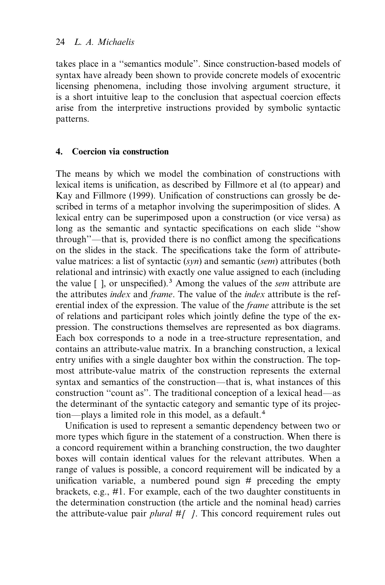takes place in a ''semantics module''. Since construction-based models of syntax have already been shown to provide concrete models of exocentric licensing phenomena, including those involving argument structure, it is a short intuitive leap to the conclusion that aspectual coercion effects arise from the interpretive instructions provided by symbolic syntactic patterns.

# 4. Coercion via construction

The means by which we model the combination of constructions with lexical items is unification, as described by Fillmore et al (to appear) and Kay and Fillmore (1999). Unification of constructions can grossly be described in terms of a metaphor involving the superimposition of slides. A lexical entry can be superimposed upon a construction (or vice versa) as long as the semantic and syntactic specifications on each slide ''show through''—that is, provided there is no conflict among the specifications on the slides in the stack. The specifications take the form of attributevalue matrices: a list of syntactic (syn) and semantic (sem) attributes (both relational and intrinsic) with exactly one value assigned to each (including the value  $\lceil \cdot \rceil$ , or unspecified).<sup>3</sup> Among the values of the *sem* attribute are the attributes index and frame. The value of the index attribute is the referential index of the expression. The value of the frame attribute is the set of relations and participant roles which jointly define the type of the expression. The constructions themselves are represented as box diagrams. Each box corresponds to a node in a tree-structure representation, and contains an attribute-value matrix. In a branching construction, a lexical entry unifies with a single daughter box within the construction. The topmost attribute-value matrix of the construction represents the external syntax and semantics of the construction—that is, what instances of this construction ''count as''. The traditional conception of a lexical head—as the determinant of the syntactic category and semantic type of its projection—plays a limited role in this model, as a default.<sup>4</sup>

Unification is used to represent a semantic dependency between two or more types which figure in the statement of a construction. When there is a concord requirement within a branching construction, the two daughter boxes will contain identical values for the relevant attributes. When a range of values is possible, a concord requirement will be indicated by a unification variable, a numbered pound sign # preceding the empty brackets, e.g., #1. For example, each of the two daughter constituents in the determination construction (the article and the nominal head) carries the attribute-value pair *plural*  $#$  [ ]. This concord requirement rules out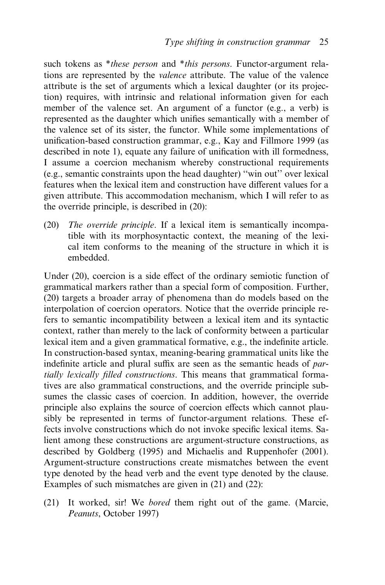such tokens as \**these person* and \**this persons*. Functor-argument relations are represented by the valence attribute. The value of the valence attribute is the set of arguments which a lexical daughter (or its projection) requires, with intrinsic and relational information given for each member of the valence set. An argument of a functor (e.g., a verb) is represented as the daughter which unifies semantically with a member of the valence set of its sister, the functor. While some implementations of unification-based construction grammar, e.g., Kay and Fillmore 1999 (as described in note 1), equate any failure of unification with ill formedness, I assume a coercion mechanism whereby constructional requirements (e.g., semantic constraints upon the head daughter) ''win out'' over lexical features when the lexical item and construction have different values for a given attribute. This accommodation mechanism, which I will refer to as the override principle, is described in (20):

(20) The override principle. If a lexical item is semantically incompatible with its morphosyntactic context, the meaning of the lexical item conforms to the meaning of the structure in which it is embedded.

Under  $(20)$ , coercion is a side effect of the ordinary semiotic function of grammatical markers rather than a special form of composition. Further, (20) targets a broader array of phenomena than do models based on the interpolation of coercion operators. Notice that the override principle refers to semantic incompatibility between a lexical item and its syntactic context, rather than merely to the lack of conformity between a particular lexical item and a given grammatical formative, e.g., the indefinite article. In construction-based syntax, meaning-bearing grammatical units like the indefinite article and plural suffix are seen as the semantic heads of partially lexically filled constructions. This means that grammatical formatives are also grammatical constructions, and the override principle subsumes the classic cases of coercion. In addition, however, the override principle also explains the source of coercion effects which cannot plausibly be represented in terms of functor-argument relations. These effects involve constructions which do not invoke specific lexical items. Salient among these constructions are argument-structure constructions, as described by Goldberg (1995) and Michaelis and Ruppenhofer (2001). Argument-structure constructions create mismatches between the event type denoted by the head verb and the event type denoted by the clause. Examples of such mismatches are given in (21) and (22):

(21) It worked, sir! We bored them right out of the game. (Marcie, Peanuts, October 1997)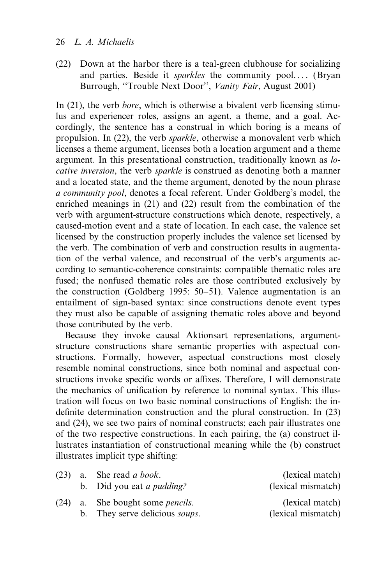(22) Down at the harbor there is a teal-green clubhouse for socializing and parties. Beside it *sparkles* the community pool.... (Bryan Burrough, ''Trouble Next Door'', Vanity Fair, August 2001)

In (21), the verb *bore*, which is otherwise a bivalent verb licensing stimulus and experiencer roles, assigns an agent, a theme, and a goal. Accordingly, the sentence has a construal in which boring is a means of propulsion. In (22), the verb sparkle, otherwise a monovalent verb which licenses a theme argument, licenses both a location argument and a theme argument. In this presentational construction, traditionally known as locative inversion, the verb sparkle is construed as denoting both a manner and a located state, and the theme argument, denoted by the noun phrase a community pool, denotes a focal referent. Under Goldberg's model, the enriched meanings in (21) and (22) result from the combination of the verb with argument-structure constructions which denote, respectively, a caused-motion event and a state of location. In each case, the valence set licensed by the construction properly includes the valence set licensed by the verb. The combination of verb and construction results in augmentation of the verbal valence, and reconstrual of the verb's arguments according to semantic-coherence constraints: compatible thematic roles are fused; the nonfused thematic roles are those contributed exclusively by the construction (Goldberg 1995: 50–51). Valence augmentation is an entailment of sign-based syntax: since constructions denote event types they must also be capable of assigning thematic roles above and beyond those contributed by the verb.

Because they invoke causal Aktionsart representations, argumentstructure constructions share semantic properties with aspectual constructions. Formally, however, aspectual constructions most closely resemble nominal constructions, since both nominal and aspectual constructions invoke specific words or affixes. Therefore, I will demonstrate the mechanics of unification by reference to nominal syntax. This illustration will focus on two basic nominal constructions of English: the indefinite determination construction and the plural construction. In (23) and (24), we see two pairs of nominal constructs; each pair illustrates one of the two respective constructions. In each pairing, the (a) construct illustrates instantiation of constructional meaning while the (b) construct illustrates implicit type shifting:

|      | $(23)$ a. She read <i>a book</i> .     | (lexical match)    |
|------|----------------------------------------|--------------------|
|      | b. Did you eat <i>a pudding</i> ?      | (lexical mismatch) |
| (24) | a. She bought some <i>pencils</i> .    | (lexical match)    |
|      | b. They serve delicious <i>soups</i> . | (lexical mismatch) |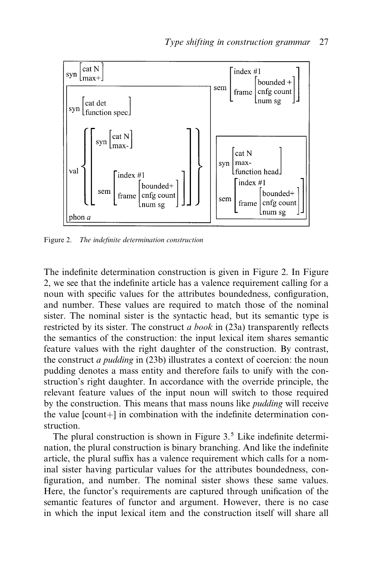

Figure 2. The indefinite determination construction

The indefinite determination construction is given in Figure 2. In Figure 2, we see that the indefinite article has a valence requirement calling for a noun with specific values for the attributes boundedness, configuration, and number. These values are required to match those of the nominal sister. The nominal sister is the syntactic head, but its semantic type is restricted by its sister. The construct a book in (23a) transparently reflects the semantics of the construction: the input lexical item shares semantic feature values with the right daughter of the construction. By contrast, the construct a pudding in (23b) illustrates a context of coercion: the noun pudding denotes a mass entity and therefore fails to unify with the construction's right daughter. In accordance with the override principle, the relevant feature values of the input noun will switch to those required by the construction. This means that mass nouns like pudding will receive the value  $[count+]$  in combination with the indefinite determination construction.

The plural construction is shown in Figure  $3<sup>5</sup>$  Like indefinite determination, the plural construction is binary branching. And like the indefinite article, the plural suffix has a valence requirement which calls for a nominal sister having particular values for the attributes boundedness, configuration, and number. The nominal sister shows these same values. Here, the functor's requirements are captured through unification of the semantic features of functor and argument. However, there is no case in which the input lexical item and the construction itself will share all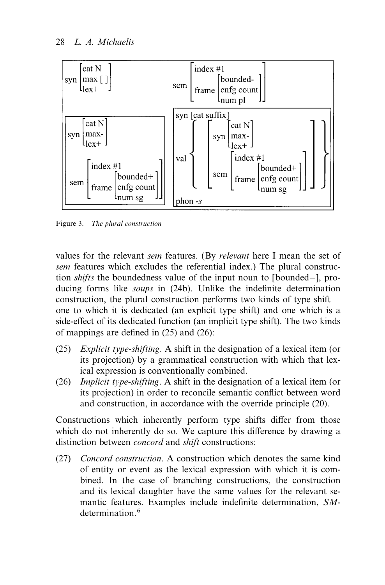

Figure 3. The plural construction

values for the relevant sem features. (By relevant here I mean the set of sem features which excludes the referential index.) The plural construction *shifts* the boundedness value of the input noun to [bounded $-$ ], producing forms like soups in (24b). Unlike the indefinite determination construction, the plural construction performs two kinds of type shift one to which it is dedicated (an explicit type shift) and one which is a side-effect of its dedicated function (an implicit type shift). The two kinds of mappings are defined in (25) and (26):

- (25) Explicit type-shifting. A shift in the designation of a lexical item (or its projection) by a grammatical construction with which that lexical expression is conventionally combined.
- (26) Implicit type-shifting. A shift in the designation of a lexical item (or its projection) in order to reconcile semantic conflict between word and construction, in accordance with the override principle (20).

Constructions which inherently perform type shifts differ from those which do not inherently do so. We capture this difference by drawing a distinction between *concord* and *shift* constructions:

(27) Concord construction. A construction which denotes the same kind of entity or event as the lexical expression with which it is combined. In the case of branching constructions, the construction and its lexical daughter have the same values for the relevant semantic features. Examples include indefinite determination, SMdetermination.<sup>6</sup>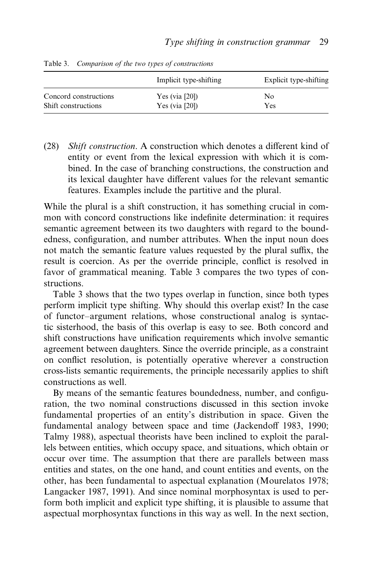|                       | Implicit type-shifting | Explicit type-shifting |
|-----------------------|------------------------|------------------------|
| Concord constructions | Yes (via $[20]$ )      | No                     |
| Shift constructions   | Yes (via $[20]$ )      | Yes                    |

Table 3. Comparison of the two types of constructions

(28) Shift construction. A construction which denotes a different kind of entity or event from the lexical expression with which it is combined. In the case of branching constructions, the construction and its lexical daughter have different values for the relevant semantic features. Examples include the partitive and the plural.

While the plural is a shift construction, it has something crucial in common with concord constructions like indefinite determination: it requires semantic agreement between its two daughters with regard to the boundedness, configuration, and number attributes. When the input noun does not match the semantic feature values requested by the plural suffix, the result is coercion. As per the override principle, conflict is resolved in favor of grammatical meaning. Table 3 compares the two types of constructions.

Table 3 shows that the two types overlap in function, since both types perform implicit type shifting. Why should this overlap exist? In the case of functor–argument relations, whose constructional analog is syntactic sisterhood, the basis of this overlap is easy to see. Both concord and shift constructions have unification requirements which involve semantic agreement between daughters. Since the override principle, as a constraint on conflict resolution, is potentially operative wherever a construction cross-lists semantic requirements, the principle necessarily applies to shift constructions as well.

By means of the semantic features boundedness, number, and configuration, the two nominal constructions discussed in this section invoke fundamental properties of an entity's distribution in space. Given the fundamental analogy between space and time (Jackendoff 1983, 1990; Talmy 1988), aspectual theorists have been inclined to exploit the parallels between entities, which occupy space, and situations, which obtain or occur over time. The assumption that there are parallels between mass entities and states, on the one hand, and count entities and events, on the other, has been fundamental to aspectual explanation (Mourelatos 1978; Langacker 1987, 1991). And since nominal morphosyntax is used to perform both implicit and explicit type shifting, it is plausible to assume that aspectual morphosyntax functions in this way as well. In the next section,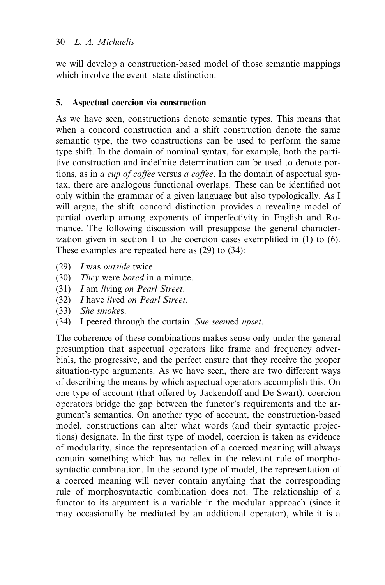we will develop a construction-based model of those semantic mappings which involve the event–state distinction.

# 5. Aspectual coercion via construction

As we have seen, constructions denote semantic types. This means that when a concord construction and a shift construction denote the same semantic type, the two constructions can be used to perform the same type shift. In the domain of nominal syntax, for example, both the partitive construction and indefinite determination can be used to denote portions, as in *a cup of coffee* versus *a coffee*. In the domain of aspectual syntax, there are analogous functional overlaps. These can be identified not only within the grammar of a given language but also typologically. As I will argue, the shift–concord distinction provides a revealing model of partial overlap among exponents of imperfectivity in English and Romance. The following discussion will presuppose the general characterization given in section 1 to the coercion cases exemplified in (1) to (6). These examples are repeated here as (29) to (34):

- (29) I was outside twice.
- (30) They were bored in a minute.
- (31) I am living on Pearl Street.
- (32) I have lived on Pearl Street.
- (33) She smokes.
- (34) I peered through the curtain. Sue seemed upset.

The coherence of these combinations makes sense only under the general presumption that aspectual operators like frame and frequency adverbials, the progressive, and the perfect ensure that they receive the proper situation-type arguments. As we have seen, there are two different ways of describing the means by which aspectual operators accomplish this. On one type of account (that offered by Jackendoff and De Swart), coercion operators bridge the gap between the functor's requirements and the argument's semantics. On another type of account, the construction-based model, constructions can alter what words (and their syntactic projections) designate. In the first type of model, coercion is taken as evidence of modularity, since the representation of a coerced meaning will always contain something which has no reflex in the relevant rule of morphosyntactic combination. In the second type of model, the representation of a coerced meaning will never contain anything that the corresponding rule of morphosyntactic combination does not. The relationship of a functor to its argument is a variable in the modular approach (since it may occasionally be mediated by an additional operator), while it is a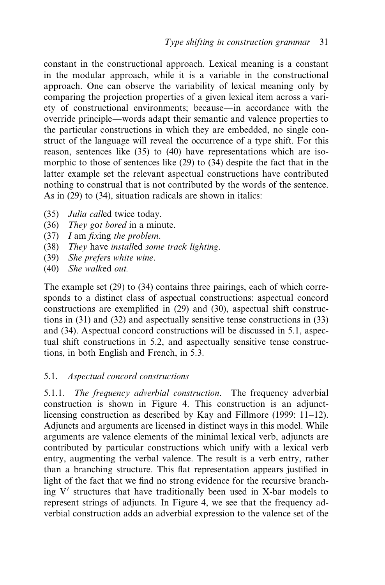constant in the constructional approach. Lexical meaning is a constant in the modular approach, while it is a variable in the constructional approach. One can observe the variability of lexical meaning only by comparing the projection properties of a given lexical item across a variety of constructional environments; because—in accordance with the override principle—words adapt their semantic and valence properties to the particular constructions in which they are embedded, no single construct of the language will reveal the occurrence of a type shift. For this reason, sentences like (35) to (40) have representations which are isomorphic to those of sentences like (29) to (34) despite the fact that in the latter example set the relevant aspectual constructions have contributed nothing to construal that is not contributed by the words of the sentence. As in (29) to (34), situation radicals are shown in italics:

- (35) Julia called twice today.
- (36) They got bored in a minute.
- $(37)$  I am fixing the problem.
- (38) They have installed some track lighting.
- (39) She prefers white wine.
- (40) She walked out.

The example set (29) to (34) contains three pairings, each of which corresponds to a distinct class of aspectual constructions: aspectual concord constructions are exemplified in (29) and (30), aspectual shift constructions in (31) and (32) and aspectually sensitive tense constructions in (33) and (34). Aspectual concord constructions will be discussed in 5.1, aspectual shift constructions in 5.2, and aspectually sensitive tense constructions, in both English and French, in 5.3.

# 5.1. Aspectual concord constructions

5.1.1. The frequency adverbial construction. The frequency adverbial construction is shown in Figure 4. This construction is an adjunctlicensing construction as described by Kay and Fillmore (1999: 11–12). Adjuncts and arguments are licensed in distinct ways in this model. While arguments are valence elements of the minimal lexical verb, adjuncts are contributed by particular constructions which unify with a lexical verb entry, augmenting the verbal valence. The result is a verb entry, rather than a branching structure. This flat representation appears justified in light of the fact that we find no strong evidence for the recursive branching  $V'$  structures that have traditionally been used in X-bar models to represent strings of adjuncts. In Figure 4, we see that the frequency adverbial construction adds an adverbial expression to the valence set of the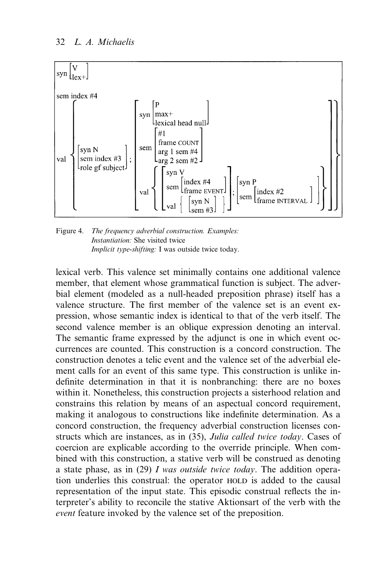

Figure 4. The frequency adverbial construction. Examples: Instantiation: She visited twice Implicit type-shifting: I was outside twice today.

lexical verb. This valence set minimally contains one additional valence member, that element whose grammatical function is subject. The adverbial element (modeled as a null-headed preposition phrase) itself has a valence structure. The first member of the valence set is an event expression, whose semantic index is identical to that of the verb itself. The second valence member is an oblique expression denoting an interval. The semantic frame expressed by the adjunct is one in which event occurrences are counted. This construction is a concord construction. The construction denotes a telic event and the valence set of the adverbial element calls for an event of this same type. This construction is unlike indefinite determination in that it is nonbranching: there are no boxes within it. Nonetheless, this construction projects a sisterhood relation and constrains this relation by means of an aspectual concord requirement, making it analogous to constructions like indefinite determination. As a concord construction, the frequency adverbial construction licenses constructs which are instances, as in (35), Julia called twice today. Cases of coercion are explicable according to the override principle. When combined with this construction, a stative verb will be construed as denoting a state phase, as in  $(29)$  I was outside twice today. The addition operation underlies this construal: the operator HOLD is added to the causal representation of the input state. This episodic construal reflects the interpreter's ability to reconcile the stative Aktionsart of the verb with the event feature invoked by the valence set of the preposition.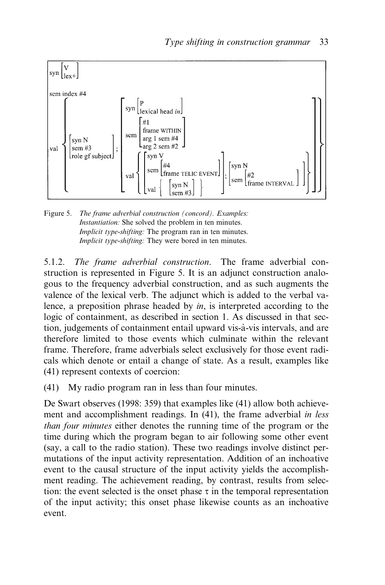



5.1.2. The frame adverbial construction. The frame adverbial construction is represented in Figure 5. It is an adjunct construction analogous to the frequency adverbial construction, and as such augments the valence of the lexical verb. The adjunct which is added to the verbal valence, a preposition phrase headed by in, is interpreted according to the logic of containment, as described in section 1. As discussed in that section, judgements of containment entail upward vis-à-vis intervals, and are therefore limited to those events which culminate within the relevant frame. Therefore, frame adverbials select exclusively for those event radicals which denote or entail a change of state. As a result, examples like (41) represent contexts of coercion:

(41) My radio program ran in less than four minutes.

De Swart observes (1998: 359) that examples like (41) allow both achievement and accomplishment readings. In (41), the frame adverbial in less than four minutes either denotes the running time of the program or the time during which the program began to air following some other event (say, a call to the radio station). These two readings involve distinct permutations of the input activity representation. Addition of an inchoative event to the causal structure of the input activity yields the accomplishment reading. The achievement reading, by contrast, results from selection: the event selected is the onset phase  $\tau$  in the temporal representation of the input activity; this onset phase likewise counts as an inchoative event.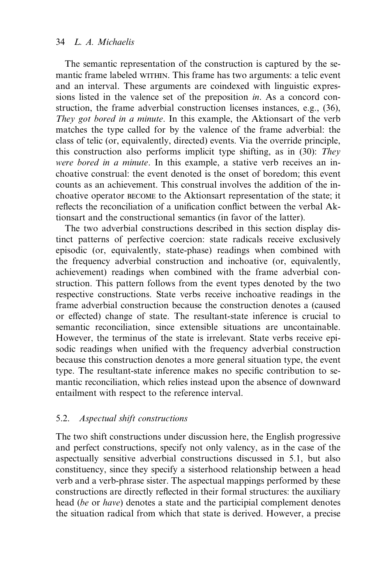The semantic representation of the construction is captured by the semantic frame labeled within. This frame has two arguments: a telic event and an interval. These arguments are coindexed with linguistic expressions listed in the valence set of the preposition in. As a concord construction, the frame adverbial construction licenses instances, e.g., (36), They got bored in a minute. In this example, the Aktionsart of the verb matches the type called for by the valence of the frame adverbial: the class of telic (or, equivalently, directed) events. Via the override principle, this construction also performs implicit type shifting, as in (30): They were bored in a minute. In this example, a stative verb receives an inchoative construal: the event denoted is the onset of boredom; this event counts as an achievement. This construal involves the addition of the inchoative operator become to the Aktionsart representation of the state; it reflects the reconciliation of a unification conflict between the verbal Aktionsart and the constructional semantics (in favor of the latter).

The two adverbial constructions described in this section display distinct patterns of perfective coercion: state radicals receive exclusively episodic (or, equivalently, state-phase) readings when combined with the frequency adverbial construction and inchoative (or, equivalently, achievement) readings when combined with the frame adverbial construction. This pattern follows from the event types denoted by the two respective constructions. State verbs receive inchoative readings in the frame adverbial construction because the construction denotes a (caused or effected) change of state. The resultant-state inference is crucial to semantic reconciliation, since extensible situations are uncontainable. However, the terminus of the state is irrelevant. State verbs receive episodic readings when unified with the frequency adverbial construction because this construction denotes a more general situation type, the event type. The resultant-state inference makes no specific contribution to semantic reconciliation, which relies instead upon the absence of downward entailment with respect to the reference interval.

# 5.2. Aspectual shift constructions

The two shift constructions under discussion here, the English progressive and perfect constructions, specify not only valency, as in the case of the aspectually sensitive adverbial constructions discussed in 5.1, but also constituency, since they specify a sisterhood relationship between a head verb and a verb-phrase sister. The aspectual mappings performed by these constructions are directly reflected in their formal structures: the auxiliary head (be or have) denotes a state and the participial complement denotes the situation radical from which that state is derived. However, a precise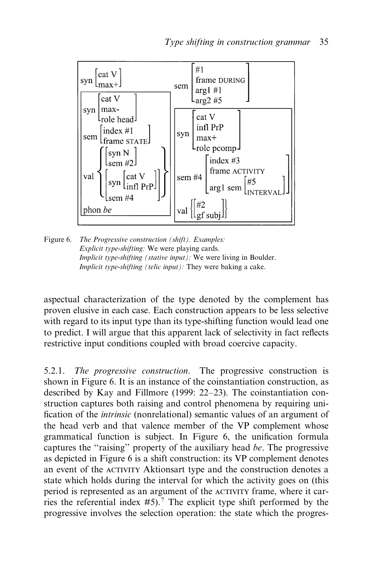

Figure 6. The Progressive construction (shift). Examples: Explicit type-shifting: We were playing cards. Implicit type-shifting (stative input): We were living in Boulder. Implicit type-shifting (telic input): They were baking a cake.

aspectual characterization of the type denoted by the complement has proven elusive in each case. Each construction appears to be less selective with regard to its input type than its type-shifting function would lead one to predict. I will argue that this apparent lack of selectivity in fact reflects restrictive input conditions coupled with broad coercive capacity.

5.2.1. The progressive construction. The progressive construction is shown in Figure 6. It is an instance of the coinstantiation construction, as described by Kay and Fillmore (1999: 22–23). The coinstantiation construction captures both raising and control phenomena by requiring unification of the intrinsic (nonrelational) semantic values of an argument of the head verb and that valence member of the VP complement whose grammatical function is subject. In Figure 6, the unification formula captures the "raising" property of the auxiliary head be. The progressive as depicted in Figure 6 is a shift construction: its VP complement denotes an event of the ACTIVITY Aktionsart type and the construction denotes a state which holds during the interval for which the activity goes on (this period is represented as an argument of the ACTIVITY frame, where it carries the referential index  $#5$ ).<sup>7</sup> The explicit type shift performed by the progressive involves the selection operation: the state which the progres-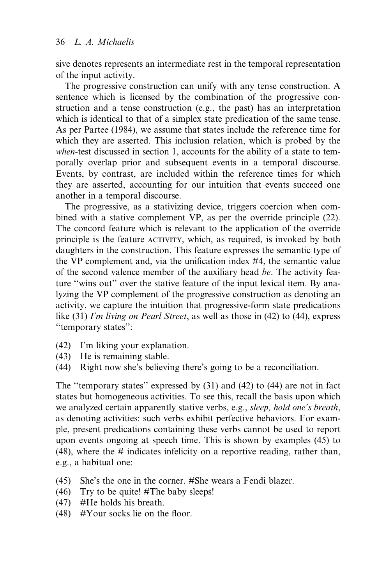sive denotes represents an intermediate rest in the temporal representation of the input activity.

The progressive construction can unify with any tense construction. A sentence which is licensed by the combination of the progressive construction and a tense construction (e.g., the past) has an interpretation which is identical to that of a simplex state predication of the same tense. As per Partee (1984), we assume that states include the reference time for which they are asserted. This inclusion relation, which is probed by the when-test discussed in section 1, accounts for the ability of a state to temporally overlap prior and subsequent events in a temporal discourse. Events, by contrast, are included within the reference times for which they are asserted, accounting for our intuition that events succeed one another in a temporal discourse.

The progressive, as a stativizing device, triggers coercion when combined with a stative complement VP, as per the override principle (22). The concord feature which is relevant to the application of the override principle is the feature  $\alpha$ CTIVITY, which, as required, is invoked by both daughters in the construction. This feature expresses the semantic type of the VP complement and, via the unification index #4, the semantic value of the second valence member of the auxiliary head be. The activity feature ''wins out'' over the stative feature of the input lexical item. By analyzing the VP complement of the progressive construction as denoting an activity, we capture the intuition that progressive-form state predications like  $(31)$  I'm living on Pearl Street, as well as those in  $(42)$  to  $(44)$ , express ''temporary states'':

- (42) I'm liking your explanation.
- (43) He is remaining stable.
- (44) Right now she's believing there's going to be a reconciliation.

The ''temporary states'' expressed by (31) and (42) to (44) are not in fact states but homogeneous activities. To see this, recall the basis upon which we analyzed certain apparently stative verbs, e.g., sleep, hold one's breath, as denoting activities: such verbs exhibit perfective behaviors. For example, present predications containing these verbs cannot be used to report upon events ongoing at speech time. This is shown by examples (45) to (48), where the # indicates infelicity on a reportive reading, rather than, e.g., a habitual one:

- (45) She's the one in the corner. #She wears a Fendi blazer.
- (46) Try to be quite! #The baby sleeps!
- (47) #He holds his breath.
- (48) #Your socks lie on the floor.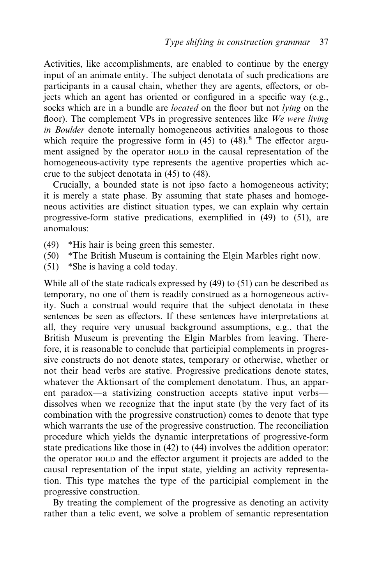Activities, like accomplishments, are enabled to continue by the energy input of an animate entity. The subject denotata of such predications are participants in a causal chain, whether they are agents, effectors, or objects which an agent has oriented or configured in a specific way (e.g., socks which are in a bundle are *located* on the floor but not *lying* on the floor). The complement VPs in progressive sentences like  $We$  were living in Boulder denote internally homogeneous activities analogous to those which require the progressive form in  $(45)$  to  $(48)$ .<sup>8</sup> The effector argument assigned by the operator HOLD in the causal representation of the homogeneous-activity type represents the agentive properties which accrue to the subject denotata in (45) to (48).

Crucially, a bounded state is not ipso facto a homogeneous activity; it is merely a state phase. By assuming that state phases and homogeneous activities are distinct situation types, we can explain why certain progressive-form stative predications, exemplified in (49) to (51), are anomalous:

- (49) \*His hair is being green this semester.
- (50) \*The British Museum is containing the Elgin Marbles right now.
- (51) \*She is having a cold today.

While all of the state radicals expressed by (49) to (51) can be described as temporary, no one of them is readily construed as a homogeneous activity. Such a construal would require that the subject denotata in these sentences be seen as effectors. If these sentences have interpretations at all, they require very unusual background assumptions, e.g., that the British Museum is preventing the Elgin Marbles from leaving. Therefore, it is reasonable to conclude that participial complements in progressive constructs do not denote states, temporary or otherwise, whether or not their head verbs are stative. Progressive predications denote states, whatever the Aktionsart of the complement denotatum. Thus, an apparent paradox—a stativizing construction accepts stative input verbs dissolves when we recognize that the input state (by the very fact of its combination with the progressive construction) comes to denote that type which warrants the use of the progressive construction. The reconciliation procedure which yields the dynamic interpretations of progressive-form state predications like those in (42) to (44) involves the addition operator: the operator HOLD and the effector argument it projects are added to the causal representation of the input state, yielding an activity representation. This type matches the type of the participial complement in the progressive construction.

By treating the complement of the progressive as denoting an activity rather than a telic event, we solve a problem of semantic representation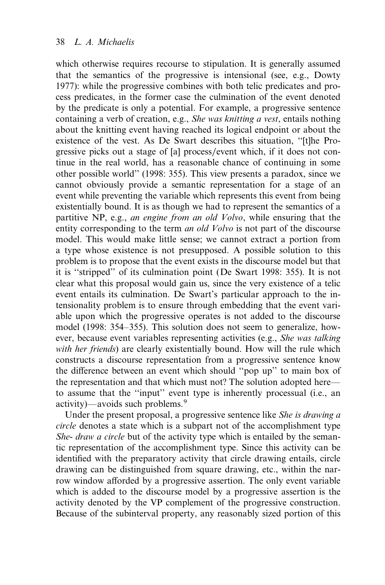which otherwise requires recourse to stipulation. It is generally assumed that the semantics of the progressive is intensional (see, e.g., Dowty 1977): while the progressive combines with both telic predicates and process predicates, in the former case the culmination of the event denoted by the predicate is only a potential. For example, a progressive sentence containing a verb of creation, e.g., She was knitting a vest, entails nothing about the knitting event having reached its logical endpoint or about the existence of the vest. As De Swart describes this situation, ''[t]he Progressive picks out a stage of [a] process/event which, if it does not continue in the real world, has a reasonable chance of continuing in some other possible world'' (1998: 355). This view presents a paradox, since we cannot obviously provide a semantic representation for a stage of an event while preventing the variable which represents this event from being existentially bound. It is as though we had to represent the semantics of a partitive NP, e.g., an engine from an old Volvo, while ensuring that the entity corresponding to the term *an old Volvo* is not part of the discourse model. This would make little sense; we cannot extract a portion from a type whose existence is not presupposed. A possible solution to this problem is to propose that the event exists in the discourse model but that it is ''stripped'' of its culmination point (De Swart 1998: 355). It is not clear what this proposal would gain us, since the very existence of a telic event entails its culmination. De Swart's particular approach to the intensionality problem is to ensure through embedding that the event variable upon which the progressive operates is not added to the discourse model (1998: 354–355). This solution does not seem to generalize, however, because event variables representing activities (e.g., She was talking with her friends) are clearly existentially bound. How will the rule which constructs a discourse representation from a progressive sentence know the difference between an event which should "pop up" to main box of the representation and that which must not? The solution adopted here to assume that the ''input'' event type is inherently processual (i.e., an activity)—avoids such problems.<sup>9</sup>

Under the present proposal, a progressive sentence like *She is drawing a* circle denotes a state which is a subpart not of the accomplishment type She- draw a circle but of the activity type which is entailed by the semantic representation of the accomplishment type. Since this activity can be identified with the preparatory activity that circle drawing entails, circle drawing can be distinguished from square drawing, etc., within the narrow window afforded by a progressive assertion. The only event variable which is added to the discourse model by a progressive assertion is the activity denoted by the VP complement of the progressive construction. Because of the subinterval property, any reasonably sized portion of this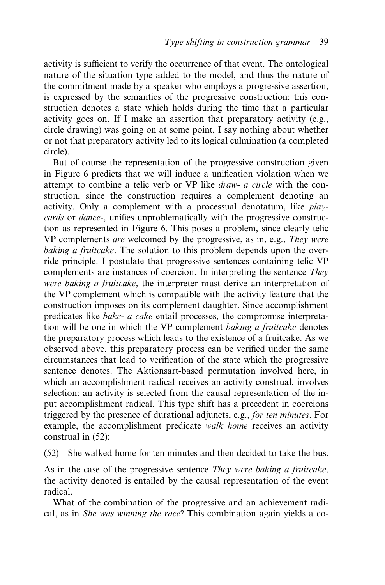activity is sufficient to verify the occurrence of that event. The ontological nature of the situation type added to the model, and thus the nature of the commitment made by a speaker who employs a progressive assertion, is expressed by the semantics of the progressive construction: this construction denotes a state which holds during the time that a particular activity goes on. If I make an assertion that preparatory activity (e.g., circle drawing) was going on at some point, I say nothing about whether or not that preparatory activity led to its logical culmination (a completed circle).

But of course the representation of the progressive construction given in Figure 6 predicts that we will induce a unification violation when we attempt to combine a telic verb or VP like *draw- a circle* with the construction, since the construction requires a complement denoting an activity. Only a complement with a processual denotatum, like playcards or dance-, unifies unproblematically with the progressive construction as represented in Figure 6. This poses a problem, since clearly telic VP complements are welcomed by the progressive, as in, e.g., They were baking a fruitcake. The solution to this problem depends upon the override principle. I postulate that progressive sentences containing telic VP complements are instances of coercion. In interpreting the sentence They were baking a fruitcake, the interpreter must derive an interpretation of the VP complement which is compatible with the activity feature that the construction imposes on its complement daughter. Since accomplishment predicates like bake- a cake entail processes, the compromise interpretation will be one in which the VP complement baking a fruitcake denotes the preparatory process which leads to the existence of a fruitcake. As we observed above, this preparatory process can be verified under the same circumstances that lead to verification of the state which the progressive sentence denotes. The Aktionsart-based permutation involved here, in which an accomplishment radical receives an activity construal, involves selection: an activity is selected from the causal representation of the input accomplishment radical. This type shift has a precedent in coercions triggered by the presence of durational adjuncts, e.g., for ten minutes. For example, the accomplishment predicate *walk home* receives an activity construal in (52):

(52) She walked home for ten minutes and then decided to take the bus.

As in the case of the progressive sentence They were baking a fruitcake, the activity denoted is entailed by the causal representation of the event radical.

What of the combination of the progressive and an achievement radical, as in She was winning the race? This combination again yields a co-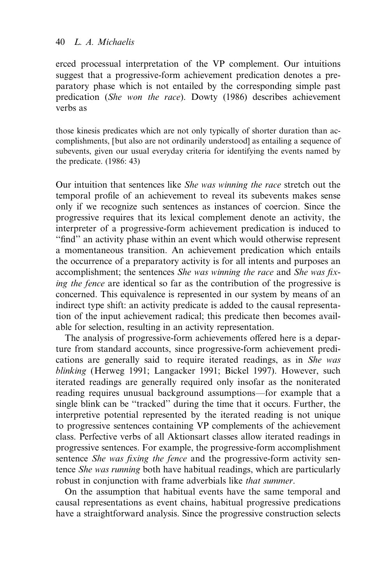erced processual interpretation of the VP complement. Our intuitions suggest that a progressive-form achievement predication denotes a preparatory phase which is not entailed by the corresponding simple past predication (She won the race). Dowty (1986) describes achievement verbs as

those kinesis predicates which are not only typically of shorter duration than accomplishments, [but also are not ordinarily understood] as entailing a sequence of subevents, given our usual everyday criteria for identifying the events named by the predicate. (1986: 43)

Our intuition that sentences like She was winning the race stretch out the temporal profile of an achievement to reveal its subevents makes sense only if we recognize such sentences as instances of coercion. Since the progressive requires that its lexical complement denote an activity, the interpreter of a progressive-form achievement predication is induced to ''find'' an activity phase within an event which would otherwise represent a momentaneous transition. An achievement predication which entails the occurrence of a preparatory activity is for all intents and purposes an accomplishment; the sentences She was winning the race and She was fixing the fence are identical so far as the contribution of the progressive is concerned. This equivalence is represented in our system by means of an indirect type shift: an activity predicate is added to the causal representation of the input achievement radical; this predicate then becomes available for selection, resulting in an activity representation.

The analysis of progressive-form achievements offered here is a departure from standard accounts, since progressive-form achievement predications are generally said to require iterated readings, as in She was blinking (Herweg 1991; Langacker 1991; Bickel 1997). However, such iterated readings are generally required only insofar as the noniterated reading requires unusual background assumptions—for example that a single blink can be ''tracked'' during the time that it occurs. Further, the interpretive potential represented by the iterated reading is not unique to progressive sentences containing VP complements of the achievement class. Perfective verbs of all Aktionsart classes allow iterated readings in progressive sentences. For example, the progressive-form accomplishment sentence She was fixing the fence and the progressive-form activity sentence She was running both have habitual readings, which are particularly robust in conjunction with frame adverbials like that summer.

On the assumption that habitual events have the same temporal and causal representations as event chains, habitual progressive predications have a straightforward analysis. Since the progressive construction selects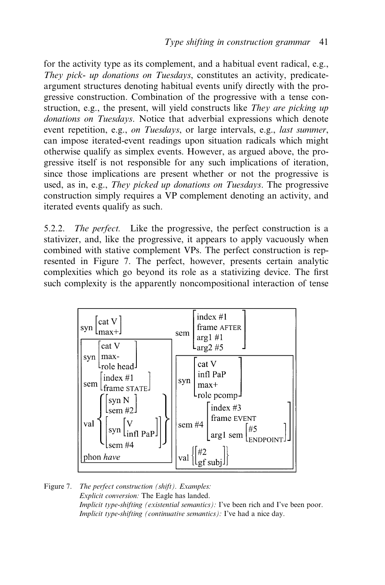for the activity type as its complement, and a habitual event radical, e.g., They pick- up donations on Tuesdays, constitutes an activity, predicateargument structures denoting habitual events unify directly with the progressive construction. Combination of the progressive with a tense construction, e.g., the present, will yield constructs like *They are picking up* donations on Tuesdays. Notice that adverbial expressions which denote event repetition, e.g., *on Tuesdays*, or large intervals, e.g., *last summer*, can impose iterated-event readings upon situation radicals which might otherwise qualify as simplex events. However, as argued above, the progressive itself is not responsible for any such implications of iteration, since those implications are present whether or not the progressive is used, as in, e.g., *They picked up donations on Tuesdays*. The progressive construction simply requires a VP complement denoting an activity, and iterated events qualify as such.

5.2.2. The perfect. Like the progressive, the perfect construction is a stativizer, and, like the progressive, it appears to apply vacuously when combined with stative complement VPs. The perfect construction is represented in Figure 7. The perfect, however, presents certain analytic complexities which go beyond its role as a stativizing device. The first such complexity is the apparently noncompositional interaction of tense



Figure 7. The perfect construction (shift). Examples: Explicit conversion: The Eagle has landed. Implicit type-shifting (existential semantics): I've been rich and I've been poor. Implicit type-shifting (continuative semantics): I've had a nice day.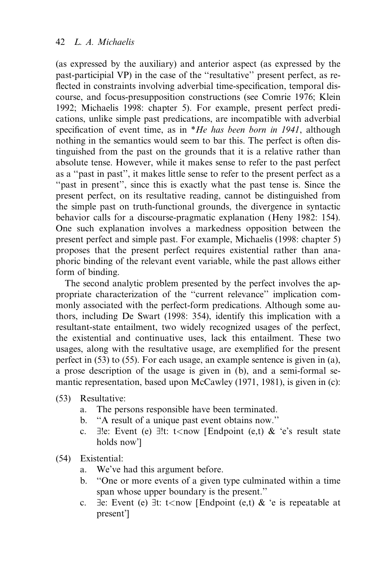(as expressed by the auxiliary) and anterior aspect (as expressed by the past-participial VP) in the case of the ''resultative'' present perfect, as reflected in constraints involving adverbial time-specification, temporal discourse, and focus-presupposition constructions (see Comrie 1976; Klein 1992; Michaelis 1998: chapter 5). For example, present perfect predications, unlike simple past predications, are incompatible with adverbial specification of event time, as in \*He has been born in 1941, although nothing in the semantics would seem to bar this. The perfect is often distinguished from the past on the grounds that it is a relative rather than absolute tense. However, while it makes sense to refer to the past perfect as a ''past in past'', it makes little sense to refer to the present perfect as a "past in present", since this is exactly what the past tense is. Since the present perfect, on its resultative reading, cannot be distinguished from the simple past on truth-functional grounds, the divergence in syntactic behavior calls for a discourse-pragmatic explanation (Heny 1982: 154). One such explanation involves a markedness opposition between the present perfect and simple past. For example, Michaelis (1998: chapter 5) proposes that the present perfect requires existential rather than anaphoric binding of the relevant event variable, while the past allows either form of binding.

The second analytic problem presented by the perfect involves the appropriate characterization of the ''current relevance'' implication commonly associated with the perfect-form predications. Although some authors, including De Swart (1998: 354), identify this implication with a resultant-state entailment, two widely recognized usages of the perfect, the existential and continuative uses, lack this entailment. These two usages, along with the resultative usage, are exemplified for the present perfect in (53) to (55). For each usage, an example sentence is given in (a), a prose description of the usage is given in (b), and a semi-formal semantic representation, based upon McCawley (1971, 1981), is given in (c):

- (53) Resultative:
	- a. The persons responsible have been terminated.
	- b. ''A result of a unique past event obtains now.''
	- c.  $\exists !$ e: Event (e)  $\exists !$ t: t<now [Endpoint (e,t) & 'e's result state holds now']
- (54) Existential:
	- a. We've had this argument before.
	- b. ''One or more events of a given type culminated within a time span whose upper boundary is the present.''
	- c.  $\exists$ e: Event (e)  $\exists$ t: t<now [Endpoint (e,t) & 'e is repeatable at present']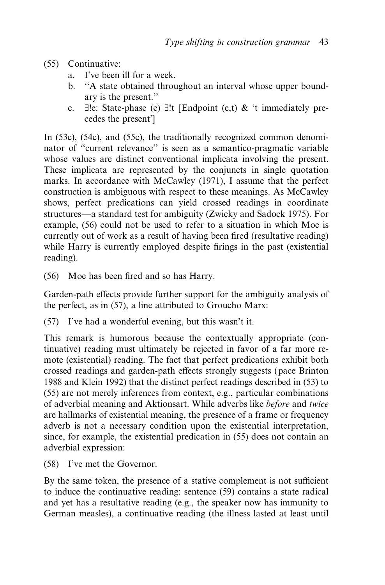- (55) Continuative:
	- a. I've been ill for a week.
	- b. ''A state obtained throughout an interval whose upper boundary is the present.''
	- c.  $\exists !$ e: State-phase (e)  $\exists !$ t [Endpoint (e,t) & 't immediately precedes the present']

In (53c), (54c), and (55c), the traditionally recognized common denominator of ''current relevance'' is seen as a semantico-pragmatic variable whose values are distinct conventional implicata involving the present. These implicata are represented by the conjuncts in single quotation marks. In accordance with McCawley (1971), I assume that the perfect construction is ambiguous with respect to these meanings. As McCawley shows, perfect predications can yield crossed readings in coordinate structures—a standard test for ambiguity (Zwicky and Sadock 1975). For example, (56) could not be used to refer to a situation in which Moe is currently out of work as a result of having been fired (resultative reading) while Harry is currently employed despite firings in the past (existential reading).

(56) Moe has been fired and so has Harry.

Garden-path effects provide further support for the ambiguity analysis of the perfect, as in (57), a line attributed to Groucho Marx:

(57) I've had a wonderful evening, but this wasn't it.

This remark is humorous because the contextually appropriate (continuative) reading must ultimately be rejected in favor of a far more remote (existential) reading. The fact that perfect predications exhibit both crossed readings and garden-path effects strongly suggests (pace Brinton 1988 and Klein 1992) that the distinct perfect readings described in (53) to (55) are not merely inferences from context, e.g., particular combinations of adverbial meaning and Aktionsart. While adverbs like before and twice are hallmarks of existential meaning, the presence of a frame or frequency adverb is not a necessary condition upon the existential interpretation, since, for example, the existential predication in (55) does not contain an adverbial expression:

(58) I've met the Governor.

By the same token, the presence of a stative complement is not sufficient to induce the continuative reading: sentence (59) contains a state radical and yet has a resultative reading (e.g., the speaker now has immunity to German measles), a continuative reading (the illness lasted at least until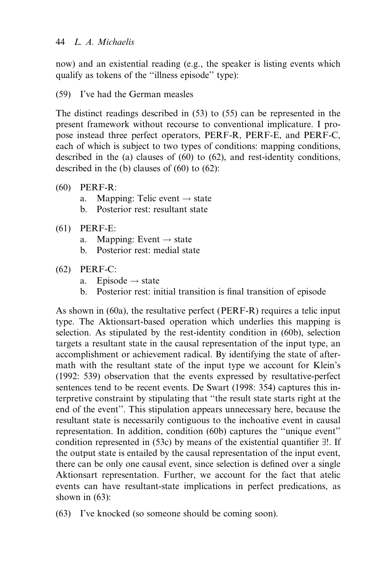now) and an existential reading (e.g., the speaker is listing events which qualify as tokens of the ''illness episode'' type):

# (59) I've had the German measles

The distinct readings described in (53) to (55) can be represented in the present framework without recourse to conventional implicature. I propose instead three perfect operators, PERF-R, PERF-E, and PERF-C, each of which is subject to two types of conditions: mapping conditions, described in the (a) clauses of (60) to (62), and rest-identity conditions, described in the (b) clauses of (60) to (62):

- (60) PERF-R:
	- a. Mapping: Telic event  $\rightarrow$  state
	- b. Posterior rest: resultant state
- (61) PERF-E:
	- a. Mapping: Event  $\rightarrow$  state
	- b. Posterior rest: medial state
- (62) PERF-C:
	- a. Episode  $\rightarrow$  state
	- b. Posterior rest: initial transition is final transition of episode

As shown in (60a), the resultative perfect (PERF-R) requires a telic input type. The Aktionsart-based operation which underlies this mapping is selection. As stipulated by the rest-identity condition in (60b), selection targets a resultant state in the causal representation of the input type, an accomplishment or achievement radical. By identifying the state of aftermath with the resultant state of the input type we account for Klein's (1992: 539) observation that the events expressed by resultative-perfect sentences tend to be recent events. De Swart (1998: 354) captures this interpretive constraint by stipulating that ''the result state starts right at the end of the event''. This stipulation appears unnecessary here, because the resultant state is necessarily contiguous to the inchoative event in causal representation. In addition, condition (60b) captures the ''unique event'' condition represented in  $(53c)$  by means of the existential quantifier  $\exists$ !. If the output state is entailed by the causal representation of the input event, there can be only one causal event, since selection is defined over a single Aktionsart representation. Further, we account for the fact that atelic events can have resultant-state implications in perfect predications, as shown in (63):

(63) I've knocked (so someone should be coming soon).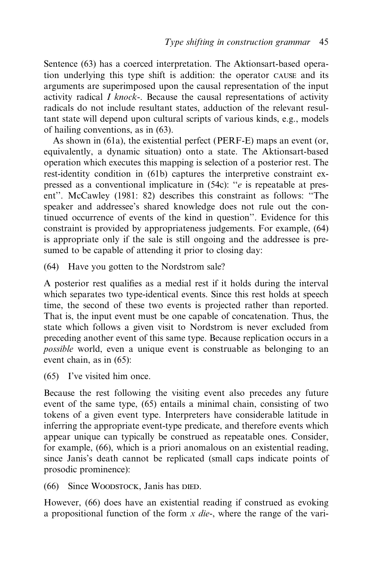Sentence (63) has a coerced interpretation. The Aktionsart-based operation underlying this type shift is addition: the operator cause and its arguments are superimposed upon the causal representation of the input activity radical  $I$  knock-. Because the causal representations of activity radicals do not include resultant states, adduction of the relevant resultant state will depend upon cultural scripts of various kinds, e.g., models of hailing conventions, as in (63).

As shown in (61a), the existential perfect (PERF-E) maps an event (or, equivalently, a dynamic situation) onto a state. The Aktionsart-based operation which executes this mapping is selection of a posterior rest. The rest-identity condition in (61b) captures the interpretive constraint expressed as a conventional implicature in (54c): ''e is repeatable at present''. McCawley (1981: 82) describes this constraint as follows: ''The speaker and addressee's shared knowledge does not rule out the continued occurrence of events of the kind in question''. Evidence for this constraint is provided by appropriateness judgements. For example, (64) is appropriate only if the sale is still ongoing and the addressee is presumed to be capable of attending it prior to closing day:

(64) Have you gotten to the Nordstrom sale?

A posterior rest qualifies as a medial rest if it holds during the interval which separates two type-identical events. Since this rest holds at speech time, the second of these two events is projected rather than reported. That is, the input event must be one capable of concatenation. Thus, the state which follows a given visit to Nordstrom is never excluded from preceding another event of this same type. Because replication occurs in a possible world, even a unique event is construable as belonging to an event chain, as in (65):

(65) I've visited him once.

Because the rest following the visiting event also precedes any future event of the same type, (65) entails a minimal chain, consisting of two tokens of a given event type. Interpreters have considerable latitude in inferring the appropriate event-type predicate, and therefore events which appear unique can typically be construed as repeatable ones. Consider, for example, (66), which is a priori anomalous on an existential reading, since Janis's death cannot be replicated (small caps indicate points of prosodic prominence):

(66) Since Woodstock, Janis has died.

However, (66) does have an existential reading if construed as evoking a propositional function of the form  $x$  die-, where the range of the vari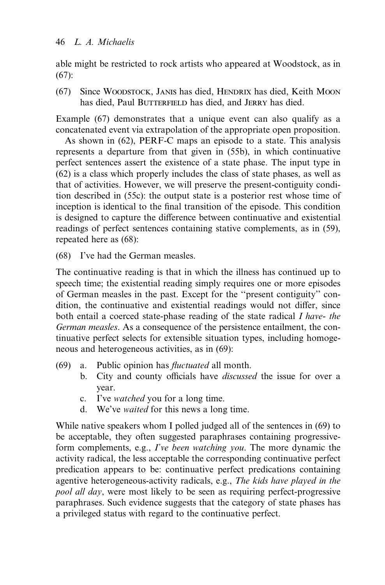able might be restricted to rock artists who appeared at Woodstock, as in  $(67)$ :

(67) Since Woodstock, Janis has died, Hendrix has died, Keith Moon has died. Paul BUTTERFIELD has died, and JERRY has died.

Example (67) demonstrates that a unique event can also qualify as a concatenated event via extrapolation of the appropriate open proposition.

As shown in (62), PERF-C maps an episode to a state. This analysis represents a departure from that given in (55b), in which continuative perfect sentences assert the existence of a state phase. The input type in (62) is a class which properly includes the class of state phases, as well as that of activities. However, we will preserve the present-contiguity condition described in (55c): the output state is a posterior rest whose time of inception is identical to the final transition of the episode. This condition is designed to capture the difference between continuative and existential readings of perfect sentences containing stative complements, as in (59), repeated here as (68):

(68) I've had the German measles.

The continuative reading is that in which the illness has continued up to speech time; the existential reading simply requires one or more episodes of German measles in the past. Except for the ''present contiguity'' condition, the continuative and existential readings would not differ, since both entail a coerced state-phase reading of the state radical I have- the German measles. As a consequence of the persistence entailment, the continuative perfect selects for extensible situation types, including homogeneous and heterogeneous activities, as in (69):

- (69) a. Public opinion has fluctuated all month.
	- b. City and county officials have *discussed* the issue for over a year.
	- c. I've watched you for a long time.
	- d. We've waited for this news a long time.

While native speakers whom I polled judged all of the sentences in (69) to be acceptable, they often suggested paraphrases containing progressiveform complements, e.g., I've been watching you. The more dynamic the activity radical, the less acceptable the corresponding continuative perfect predication appears to be: continuative perfect predications containing agentive heterogeneous-activity radicals, e.g., The kids have played in the pool all day, were most likely to be seen as requiring perfect-progressive paraphrases. Such evidence suggests that the category of state phases has a privileged status with regard to the continuative perfect.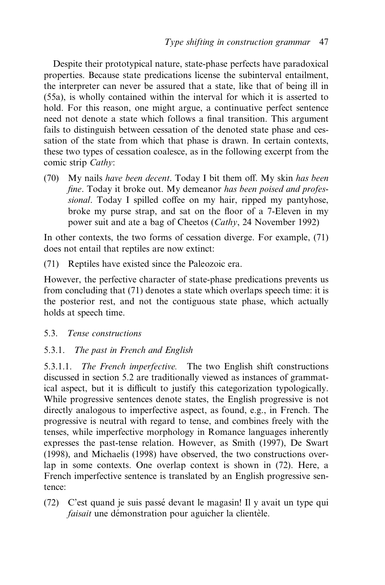Despite their prototypical nature, state-phase perfects have paradoxical properties. Because state predications license the subinterval entailment, the interpreter can never be assured that a state, like that of being ill in (55a), is wholly contained within the interval for which it is asserted to hold. For this reason, one might argue, a continuative perfect sentence need not denote a state which follows a final transition. This argument fails to distinguish between cessation of the denoted state phase and cessation of the state from which that phase is drawn. In certain contexts, these two types of cessation coalesce, as in the following excerpt from the comic strip Cathy:

 $(70)$  My nails have been decent. Today I bit them off. My skin has been fine. Today it broke out. My demeanor has been poised and professional. Today I spilled coffee on my hair, ripped my pantyhose, broke my purse strap, and sat on the floor of a 7-Eleven in my power suit and ate a bag of Cheetos (Cathy, 24 November 1992)

In other contexts, the two forms of cessation diverge. For example, (71) does not entail that reptiles are now extinct:

(71) Reptiles have existed since the Paleozoic era.

However, the perfective character of state-phase predications prevents us from concluding that (71) denotes a state which overlaps speech time: it is the posterior rest, and not the contiguous state phase, which actually holds at speech time.

5.3. Tense constructions

# 5.3.1. The past in French and English

5.3.1.1. The French imperfective. The two English shift constructions discussed in section 5.2 are traditionally viewed as instances of grammatical aspect, but it is difficult to justify this categorization typologically. While progressive sentences denote states, the English progressive is not directly analogous to imperfective aspect, as found, e.g., in French. The progressive is neutral with regard to tense, and combines freely with the tenses, while imperfective morphology in Romance languages inherently expresses the past-tense relation. However, as Smith (1997), De Swart (1998), and Michaelis (1998) have observed, the two constructions overlap in some contexts. One overlap context is shown in (72). Here, a French imperfective sentence is translated by an English progressive sentence:

(72) C'est quand je suis passe´ devant le magasin! Il y avait un type qui faisait une démonstration pour aguicher la clientèle.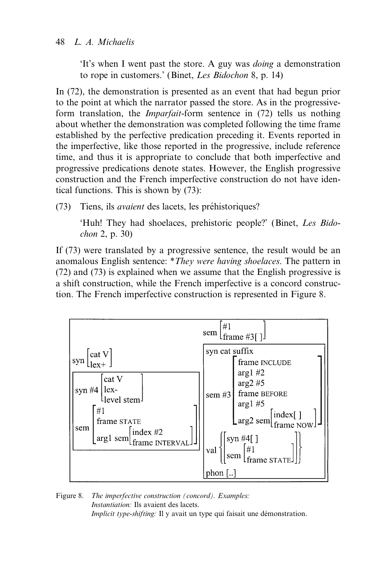'It's when I went past the store. A guy was doing a demonstration to rope in customers.' (Binet, Les Bidochon 8, p. 14)

In (72), the demonstration is presented as an event that had begun prior to the point at which the narrator passed the store. As in the progressiveform translation, the *Imparfait*-form sentence in (72) tells us nothing about whether the demonstration was completed following the time frame established by the perfective predication preceding it. Events reported in the imperfective, like those reported in the progressive, include reference time, and thus it is appropriate to conclude that both imperfective and progressive predications denote states. However, the English progressive construction and the French imperfective construction do not have identical functions. This is shown by (73):

(73) Tiens, ils *avaient* des lacets, les préhistoriques?

'Huh! They had shoelaces, prehistoric people?' (Binet, Les Bidochon 2, p. 30)

If (73) were translated by a progressive sentence, the result would be an anomalous English sentence: \*They were having shoelaces. The pattern in (72) and (73) is explained when we assume that the English progressive is a shift construction, while the French imperfective is a concord construction. The French imperfective construction is represented in Figure 8.



Figure 8. The imperfective construction (concord). Examples: Instantiation: Ils avaient des lacets. Implicit type-shifting: Il y avait un type qui faisait une démonstration.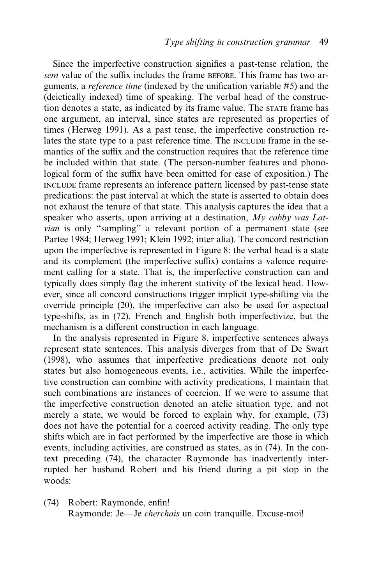Since the imperfective construction signifies a past-tense relation, the sem value of the suffix includes the frame  $B$  before. This frame has two arguments, a reference time (indexed by the unification variable #5) and the (deictically indexed) time of speaking. The verbal head of the construction denotes a state, as indicated by its frame value. The STATE frame has one argument, an interval, since states are represented as properties of times (Herweg 1991). As a past tense, the imperfective construction relates the state type to a past reference time. The INCLUDE frame in the semantics of the suffix and the construction requires that the reference time be included within that state. (The person-number features and phonological form of the suffix have been omitted for ease of exposition.) The include frame represents an inference pattern licensed by past-tense state predications: the past interval at which the state is asserted to obtain does not exhaust the tenure of that state. This analysis captures the idea that a speaker who asserts, upon arriving at a destination,  $M_v$  cabby was Latvian is only ''sampling'' a relevant portion of a permanent state (see Partee 1984; Herweg 1991; Klein 1992; inter alia). The concord restriction upon the imperfective is represented in Figure 8: the verbal head is a state and its complement (the imperfective suffix) contains a valence requirement calling for a state. That is, the imperfective construction can and typically does simply flag the inherent stativity of the lexical head. However, since all concord constructions trigger implicit type-shifting via the override principle (20), the imperfective can also be used for aspectual type-shifts, as in (72). French and English both imperfectivize, but the mechanism is a different construction in each language.

In the analysis represented in Figure 8, imperfective sentences always represent state sentences. This analysis diverges from that of De Swart (1998), who assumes that imperfective predications denote not only states but also homogeneous events, i.e., activities. While the imperfective construction can combine with activity predications, I maintain that such combinations are instances of coercion. If we were to assume that the imperfective construction denoted an atelic situation type, and not merely a state, we would be forced to explain why, for example, (73) does not have the potential for a coerced activity reading. The only type shifts which are in fact performed by the imperfective are those in which events, including activities, are construed as states, as in (74). In the context preceding (74), the character Raymonde has inadvertently interrupted her husband Robert and his friend during a pit stop in the woods:

(74) Robert: Raymonde, enfin! Raymonde: Je—Je *cherchais* un coin tranquille. Excuse-moi!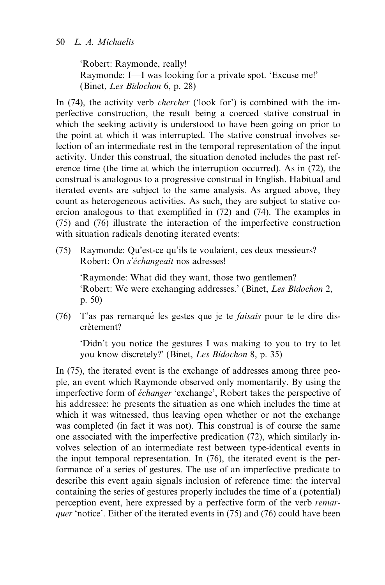'Robert: Raymonde, really! Raymonde: I—I was looking for a private spot. 'Excuse me!' (Binet, Les Bidochon 6, p. 28)

In (74), the activity verb *chercher* ('look for') is combined with the imperfective construction, the result being a coerced stative construal in which the seeking activity is understood to have been going on prior to the point at which it was interrupted. The stative construal involves selection of an intermediate rest in the temporal representation of the input activity. Under this construal, the situation denoted includes the past reference time (the time at which the interruption occurred). As in (72), the construal is analogous to a progressive construal in English. Habitual and iterated events are subject to the same analysis. As argued above, they count as heterogeneous activities. As such, they are subject to stative coercion analogous to that exemplified in (72) and (74). The examples in (75) and (76) illustrate the interaction of the imperfective construction with situation radicals denoting iterated events:

(75) Raymonde: Qu'est-ce qu'ils te voulaient, ces deux messieurs? Robert: On s'échangeait nos adresses!

'Raymonde: What did they want, those two gentlemen? 'Robert: We were exchanging addresses.' (Binet, Les Bidochon 2, p. 50)

(76) T'as pas remarqué les gestes que je te *faisais* pour te le dire discrètement?

'Didn't you notice the gestures I was making to you to try to let you know discretely?' (Binet, Les Bidochon 8, p. 35)

In (75), the iterated event is the exchange of addresses among three people, an event which Raymonde observed only momentarily. By using the imperfective form of *échanger* 'exchange', Robert takes the perspective of his addressee: he presents the situation as one which includes the time at which it was witnessed, thus leaving open whether or not the exchange was completed (in fact it was not). This construal is of course the same one associated with the imperfective predication (72), which similarly involves selection of an intermediate rest between type-identical events in the input temporal representation. In (76), the iterated event is the performance of a series of gestures. The use of an imperfective predicate to describe this event again signals inclusion of reference time: the interval containing the series of gestures properly includes the time of a (potential) perception event, here expressed by a perfective form of the verb remarquer 'notice'. Either of the iterated events in (75) and (76) could have been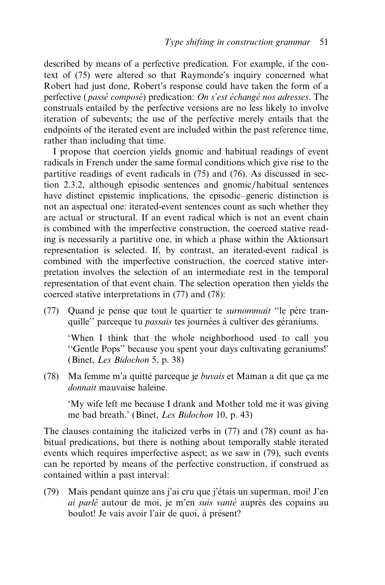described by means of a perfective predication. For example, if the context of (75) were altered so that Raymonde's inquiry concerned what Robert had just done, Robert's response could have taken the form of a perfective (*passé composé*) predication: *On s'est échangé nos adresses*. The construals entailed by the perfective versions are no less likely to involve iteration of subevents; the use of the perfective merely entails that the endpoints of the iterated event are included within the past reference time, rather than including that time.

I propose that coercion yields gnomic and habitual readings of event radicals in French under the same formal conditions which give rise to the partitive readings of event radicals in (75) and (76). As discussed in section 2.3.2, although episodic sentences and gnomic/habitual sentences have distinct epistemic implications, the episodic–generic distinction is not an aspectual one: iterated-event sentences count as such whether they are actual or structural. If an event radical which is not an event chain is combined with the imperfective construction, the coerced stative reading is necessarily a partitive one, in which a phase within the Aktionsart representation is selected. If, by contrast, an iterated-event radical is combined with the imperfective construction, the coerced stative interpretation involves the selection of an intermediate rest in the temporal representation of that event chain. The selection operation then yields the coerced stative interpretations in (77) and (78):

(77) Quand je pense que tout le quartier te *surnommait* "le père tranquille'' parceque tu *passais* tes journées à cultiver des géraniums.

'When I think that the whole neighborhood used to call you ''Gentle Pops'' because you spent your days cultivating geraniums!' (Binet, Les Bidochon 5, p. 38)

(78) Ma femme m'a quitté parceque je buvais et Maman a dit que ça me donnait mauvaise haleine.

'My wife left me because I drank and Mother told me it was giving me bad breath.' (Binet, Les Bidochon 10, p. 43)

The clauses containing the italicized verbs in (77) and (78) count as habitual predications, but there is nothing about temporally stable iterated events which requires imperfective aspect; as we saw in (79), such events can be reported by means of the perfective construction, if construed as contained within a past interval:

 $(79)$  Mais pendant quinze ans j'ai cru que j'étais un superman, moi! J'en ai parlé autour de moi, je m'en suis vanté auprès des copains au boulot! Je vais avoir l'air de quoi, à présent?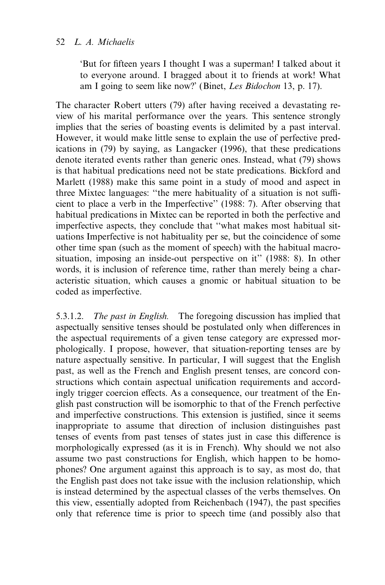'But for fifteen years I thought I was a superman! I talked about it to everyone around. I bragged about it to friends at work! What am I going to seem like now?' (Binet, Les Bidochon 13, p. 17).

The character Robert utters (79) after having received a devastating review of his marital performance over the years. This sentence strongly implies that the series of boasting events is delimited by a past interval. However, it would make little sense to explain the use of perfective predications in (79) by saying, as Langacker (1996), that these predications denote iterated events rather than generic ones. Instead, what (79) shows is that habitual predications need not be state predications. Bickford and Marlett (1988) make this same point in a study of mood and aspect in three Mixtec languages: "the mere habituality of a situation is not sufficient to place a verb in the Imperfective'' (1988: 7). After observing that habitual predications in Mixtec can be reported in both the perfective and imperfective aspects, they conclude that ''what makes most habitual situations Imperfective is not habituality per se, but the coincidence of some other time span (such as the moment of speech) with the habitual macrosituation, imposing an inside-out perspective on it'' (1988: 8). In other words, it is inclusion of reference time, rather than merely being a characteristic situation, which causes a gnomic or habitual situation to be coded as imperfective.

5.3.1.2. The past in English. The foregoing discussion has implied that aspectually sensitive tenses should be postulated only when differences in the aspectual requirements of a given tense category are expressed morphologically. I propose, however, that situation-reporting tenses are by nature aspectually sensitive. In particular, I will suggest that the English past, as well as the French and English present tenses, are concord constructions which contain aspectual unification requirements and accordingly trigger coercion effects. As a consequence, our treatment of the English past construction will be isomorphic to that of the French perfective and imperfective constructions. This extension is justified, since it seems inappropriate to assume that direction of inclusion distinguishes past tenses of events from past tenses of states just in case this difference is morphologically expressed (as it is in French). Why should we not also assume two past constructions for English, which happen to be homophones? One argument against this approach is to say, as most do, that the English past does not take issue with the inclusion relationship, which is instead determined by the aspectual classes of the verbs themselves. On this view, essentially adopted from Reichenbach (1947), the past specifies only that reference time is prior to speech time (and possibly also that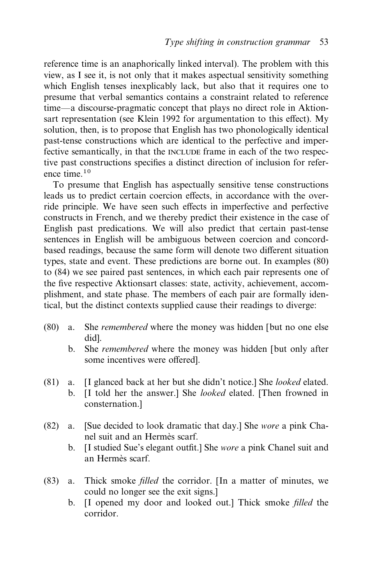reference time is an anaphorically linked interval). The problem with this view, as I see it, is not only that it makes aspectual sensitivity something which English tenses inexplicably lack, but also that it requires one to presume that verbal semantics contains a constraint related to reference time—a discourse-pragmatic concept that plays no direct role in Aktionsart representation (see Klein 1992 for argumentation to this effect). My solution, then, is to propose that English has two phonologically identical past-tense constructions which are identical to the perfective and imperfective semantically, in that the INCLUDE frame in each of the two respective past constructions specifies a distinct direction of inclusion for reference time  $10$ 

To presume that English has aspectually sensitive tense constructions leads us to predict certain coercion effects, in accordance with the override principle. We have seen such effects in imperfective and perfective constructs in French, and we thereby predict their existence in the case of English past predications. We will also predict that certain past-tense sentences in English will be ambiguous between coercion and concordbased readings, because the same form will denote two different situation types, state and event. These predictions are borne out. In examples (80) to (84) we see paired past sentences, in which each pair represents one of the five respective Aktionsart classes: state, activity, achievement, accomplishment, and state phase. The members of each pair are formally identical, but the distinct contexts supplied cause their readings to diverge:

- (80) a. She remembered where the money was hidden [but no one else did].
	- b. She remembered where the money was hidden [but only after some incentives were offered].
- (81) a. [I glanced back at her but she didn't notice.] She looked elated. b. [I told her the answer.] She looked elated. [Then frowned in consternation.]
- (82) a. [Sue decided to look dramatic that day.] She wore a pink Chanel suit and an Hermès scarf.
	- b. [I studied Sue's elegant outfit.] She wore a pink Chanel suit and an Hermès scarf.
- (83) a. Thick smoke filled the corridor. [In a matter of minutes, we could no longer see the exit signs.]
	- b. II opened my door and looked out. Thick smoke *filled* the corridor.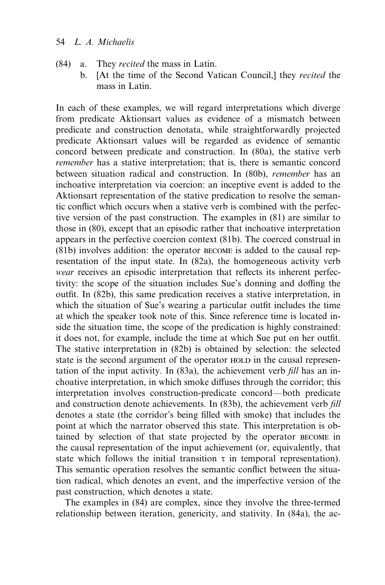- (84) a. They recited the mass in Latin.
	- b. [At the time of the Second Vatican Council,] they recited the mass in Latin.

In each of these examples, we will regard interpretations which diverge from predicate Aktionsart values as evidence of a mismatch between predicate and construction denotata, while straightforwardly projected predicate Aktionsart values will be regarded as evidence of semantic concord between predicate and construction. In (80a), the stative verb remember has a stative interpretation; that is, there is semantic concord between situation radical and construction. In (80b), remember has an inchoative interpretation via coercion: an inceptive event is added to the Aktionsart representation of the stative predication to resolve the semantic conflict which occurs when a stative verb is combined with the perfective version of the past construction. The examples in (81) are similar to those in (80), except that an episodic rather that inchoative interpretation appears in the perfective coercion context (81b). The coerced construal in (81b) involves addition: the operator become is added to the causal representation of the input state. In (82a), the homogeneous activity verb wear receives an episodic interpretation that reflects its inherent perfectivity: the scope of the situation includes Sue's donning and doffing the outfit. In (82b), this same predication receives a stative interpretation, in which the situation of Sue's wearing a particular outfit includes the time at which the speaker took note of this. Since reference time is located inside the situation time, the scope of the predication is highly constrained: it does not, for example, include the time at which Sue put on her outfit. The stative interpretation in (82b) is obtained by selection: the selected state is the second argument of the operator HOLD in the causal representation of the input activity. In  $(83a)$ , the achievement verb *fill* has an inchoative interpretation, in which smoke diffuses through the corridor; this interpretation involves construction-predicate concord—both predicate and construction denote achievements. In (83b), the achievement verb fill denotes a state (the corridor's being filled with smoke) that includes the point at which the narrator observed this state. This interpretation is obtained by selection of that state projected by the operator become in the causal representation of the input achievement (or, equivalently, that state which follows the initial transition  $\tau$  in temporal representation). This semantic operation resolves the semantic conflict between the situation radical, which denotes an event, and the imperfective version of the past construction, which denotes a state.

The examples in (84) are complex, since they involve the three-termed relationship between iteration, genericity, and stativity. In (84a), the ac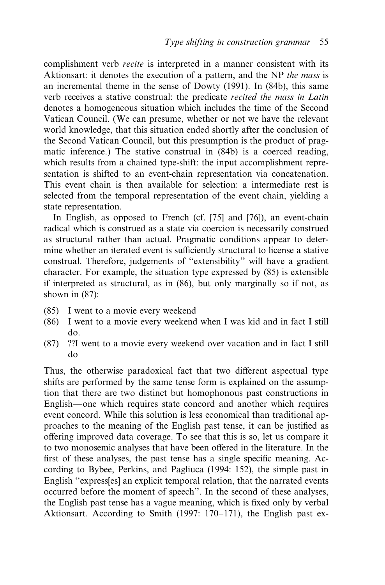complishment verb *recite* is interpreted in a manner consistent with its Aktionsart: it denotes the execution of a pattern, and the NP the mass is an incremental theme in the sense of Dowty (1991). In (84b), this same verb receives a stative construal: the predicate recited the mass in Latin denotes a homogeneous situation which includes the time of the Second Vatican Council. (We can presume, whether or not we have the relevant world knowledge, that this situation ended shortly after the conclusion of the Second Vatican Council, but this presumption is the product of pragmatic inference.) The stative construal in (84b) is a coerced reading, which results from a chained type-shift: the input accomplishment representation is shifted to an event-chain representation via concatenation. This event chain is then available for selection: a intermediate rest is selected from the temporal representation of the event chain, yielding a state representation.

In English, as opposed to French (cf. [75] and [76]), an event-chain radical which is construed as a state via coercion is necessarily construed as structural rather than actual. Pragmatic conditions appear to determine whether an iterated event is sufficiently structural to license a stative construal. Therefore, judgements of ''extensibility'' will have a gradient character. For example, the situation type expressed by (85) is extensible if interpreted as structural, as in (86), but only marginally so if not, as shown in (87):

- (85) I went to a movie every weekend
- (86) I went to a movie every weekend when I was kid and in fact I still do.
- (87) ??I went to a movie every weekend over vacation and in fact I still do

Thus, the otherwise paradoxical fact that two different aspectual type shifts are performed by the same tense form is explained on the assumption that there are two distinct but homophonous past constructions in English—one which requires state concord and another which requires event concord. While this solution is less economical than traditional approaches to the meaning of the English past tense, it can be justified as offering improved data coverage. To see that this is so, let us compare it to two monosemic analyses that have been offered in the literature. In the first of these analyses, the past tense has a single specific meaning. According to Bybee, Perkins, and Pagliuca (1994: 152), the simple past in English ''express[es] an explicit temporal relation, that the narrated events occurred before the moment of speech''. In the second of these analyses, the English past tense has a vague meaning, which is fixed only by verbal Aktionsart. According to Smith (1997: 170–171), the English past ex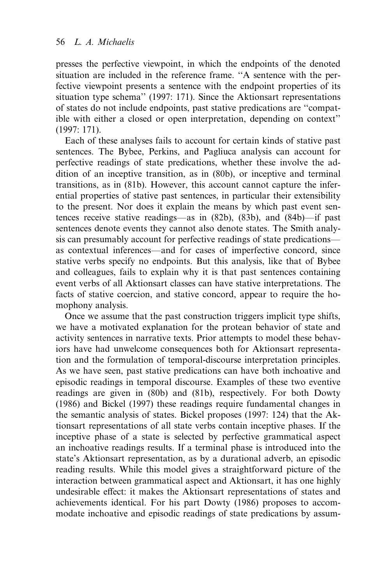presses the perfective viewpoint, in which the endpoints of the denoted situation are included in the reference frame. ''A sentence with the perfective viewpoint presents a sentence with the endpoint properties of its situation type schema'' (1997: 171). Since the Aktionsart representations of states do not include endpoints, past stative predications are ''compatible with either a closed or open interpretation, depending on context'' (1997: 171).

Each of these analyses fails to account for certain kinds of stative past sentences. The Bybee, Perkins, and Pagliuca analysis can account for perfective readings of state predications, whether these involve the addition of an inceptive transition, as in (80b), or inceptive and terminal transitions, as in (81b). However, this account cannot capture the inferential properties of stative past sentences, in particular their extensibility to the present. Nor does it explain the means by which past event sentences receive stative readings—as in (82b), (83b), and (84b)—if past sentences denote events they cannot also denote states. The Smith analysis can presumably account for perfective readings of state predications as contextual inferences—and for cases of imperfective concord, since stative verbs specify no endpoints. But this analysis, like that of Bybee and colleagues, fails to explain why it is that past sentences containing event verbs of all Aktionsart classes can have stative interpretations. The facts of stative coercion, and stative concord, appear to require the homophony analysis.

Once we assume that the past construction triggers implicit type shifts, we have a motivated explanation for the protean behavior of state and activity sentences in narrative texts. Prior attempts to model these behaviors have had unwelcome consequences both for Aktionsart representation and the formulation of temporal-discourse interpretation principles. As we have seen, past stative predications can have both inchoative and episodic readings in temporal discourse. Examples of these two eventive readings are given in (80b) and (81b), respectively. For both Dowty (1986) and Bickel (1997) these readings require fundamental changes in the semantic analysis of states. Bickel proposes (1997: 124) that the Aktionsart representations of all state verbs contain inceptive phases. If the inceptive phase of a state is selected by perfective grammatical aspect an inchoative readings results. If a terminal phase is introduced into the state's Aktionsart representation, as by a durational adverb, an episodic reading results. While this model gives a straightforward picture of the interaction between grammatical aspect and Aktionsart, it has one highly undesirable effect: it makes the Aktionsart representations of states and achievements identical. For his part Dowty (1986) proposes to accommodate inchoative and episodic readings of state predications by assum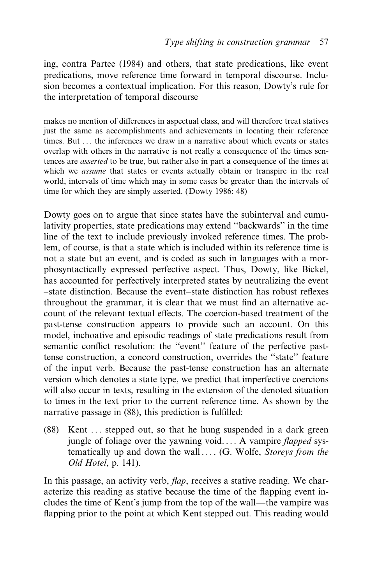ing, contra Partee (1984) and others, that state predications, like event predications, move reference time forward in temporal discourse. Inclusion becomes a contextual implication. For this reason, Dowty's rule for the interpretation of temporal discourse

makes no mention of differences in aspectual class, and will therefore treat statives just the same as accomplishments and achievements in locating their reference times. But ... the inferences we draw in a narrative about which events or states overlap with others in the narrative is not really a consequence of the times sentences are asserted to be true, but rather also in part a consequence of the times at which we *assume* that states or events actually obtain or transpire in the real world, intervals of time which may in some cases be greater than the intervals of time for which they are simply asserted. (Dowty 1986: 48)

Dowty goes on to argue that since states have the subinterval and cumulativity properties, state predications may extend ''backwards'' in the time line of the text to include previously invoked reference times. The problem, of course, is that a state which is included within its reference time is not a state but an event, and is coded as such in languages with a morphosyntactically expressed perfective aspect. Thus, Dowty, like Bickel, has accounted for perfectively interpreted states by neutralizing the event –state distinction. Because the event–state distinction has robust reflexes throughout the grammar, it is clear that we must find an alternative account of the relevant textual effects. The coercion-based treatment of the past-tense construction appears to provide such an account. On this model, inchoative and episodic readings of state predications result from semantic conflict resolution: the "event" feature of the perfective pasttense construction, a concord construction, overrides the ''state'' feature of the input verb. Because the past-tense construction has an alternate version which denotes a state type, we predict that imperfective coercions will also occur in texts, resulting in the extension of the denoted situation to times in the text prior to the current reference time. As shown by the narrative passage in (88), this prediction is fulfilled:

 $(88)$  Kent  $\ldots$  stepped out, so that he hung suspended in a dark green jungle of foliage over the yawning void.... A vampire *flapped* systematically up and down the wall .... (G. Wolfe, Storeys from the Old Hotel, p. 141).

In this passage, an activity verb, *flap*, receives a stative reading. We characterize this reading as stative because the time of the flapping event includes the time of Kent's jump from the top of the wall—the vampire was flapping prior to the point at which Kent stepped out. This reading would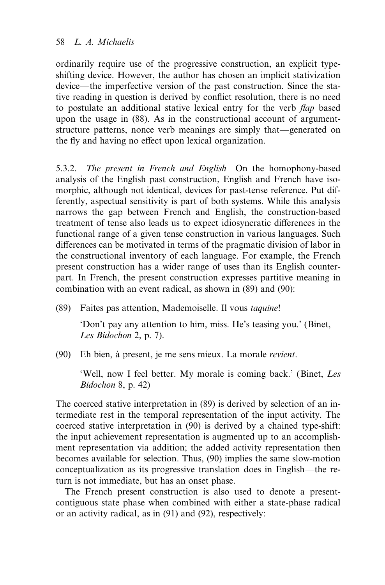ordinarily require use of the progressive construction, an explicit typeshifting device. However, the author has chosen an implicit stativization device—the imperfective version of the past construction. Since the stative reading in question is derived by conflict resolution, there is no need to postulate an additional stative lexical entry for the verb flap based upon the usage in (88). As in the constructional account of argumentstructure patterns, nonce verb meanings are simply that—generated on the fly and having no effect upon lexical organization.

5.3.2. The present in French and English On the homophony-based analysis of the English past construction, English and French have isomorphic, although not identical, devices for past-tense reference. Put differently, aspectual sensitivity is part of both systems. While this analysis narrows the gap between French and English, the construction-based treatment of tense also leads us to expect idiosyncratic differences in the functional range of a given tense construction in various languages. Such differences can be motivated in terms of the pragmatic division of labor in the constructional inventory of each language. For example, the French present construction has a wider range of uses than its English counterpart. In French, the present construction expresses partitive meaning in combination with an event radical, as shown in (89) and (90):

(89) Faites pas attention, Mademoiselle. Il vous taquine!

'Don't pay any attention to him, miss. He's teasing you.' (Binet, Les Bidochon 2, p. 7).

(90) Eh bien, a` present, je me sens mieux. La morale revient.

'Well, now I feel better. My morale is coming back.' (Binet, Les Bidochon 8, p. 42)

The coerced stative interpretation in (89) is derived by selection of an intermediate rest in the temporal representation of the input activity. The coerced stative interpretation in (90) is derived by a chained type-shift: the input achievement representation is augmented up to an accomplishment representation via addition; the added activity representation then becomes available for selection. Thus, (90) implies the same slow-motion conceptualization as its progressive translation does in English—the return is not immediate, but has an onset phase.

The French present construction is also used to denote a presentcontiguous state phase when combined with either a state-phase radical or an activity radical, as in (91) and (92), respectively: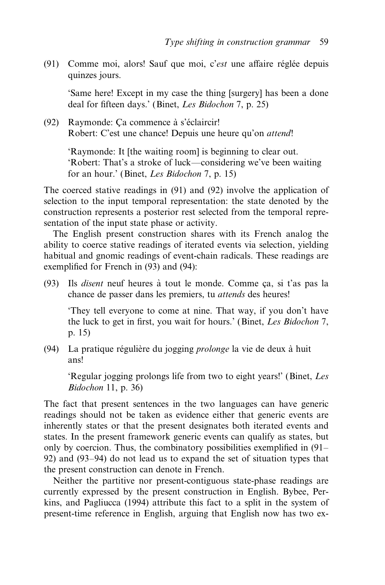(91) Comme moi, alors! Sauf que moi,  $c'est$  une affaire réglée depuis quinzes jours.

'Same here! Except in my case the thing [surgery] has been a done deal for fifteen days.' (Binet, Les Bidochon 7, p. 25)

(92) Raymonde: Ça commence à s'éclaircir! Robert: C'est une chance! Depuis une heure qu'on *attend*!

'Raymonde: It [the waiting room] is beginning to clear out. 'Robert: That's a stroke of luck—considering we've been waiting for an hour.' (Binet, Les Bidochon 7, p. 15)

The coerced stative readings in (91) and (92) involve the application of selection to the input temporal representation: the state denoted by the construction represents a posterior rest selected from the temporal representation of the input state phase or activity.

The English present construction shares with its French analog the ability to coerce stative readings of iterated events via selection, yielding habitual and gnomic readings of event-chain radicals. These readings are exemplified for French in (93) and (94):

(93) Ils *disent* neuf heures à tout le monde. Comme ca, si t'as pas la chance de passer dans les premiers, tu attends des heures!

'They tell everyone to come at nine. That way, if you don't have the luck to get in first, you wait for hours.' (Binet, Les Bidochon 7, p. 15)

(94) La pratique régulière du jogging *prolonge* la vie de deux à huit ans!

'Regular jogging prolongs life from two to eight years!' (Binet, Les Bidochon 11, p. 36)

The fact that present sentences in the two languages can have generic readings should not be taken as evidence either that generic events are inherently states or that the present designates both iterated events and states. In the present framework generic events can qualify as states, but only by coercion. Thus, the combinatory possibilities exemplified in (91– 92) and (93–94) do not lead us to expand the set of situation types that the present construction can denote in French.

Neither the partitive nor present-contiguous state-phase readings are currently expressed by the present construction in English. Bybee, Perkins, and Pagliucca (1994) attribute this fact to a split in the system of present-time reference in English, arguing that English now has two ex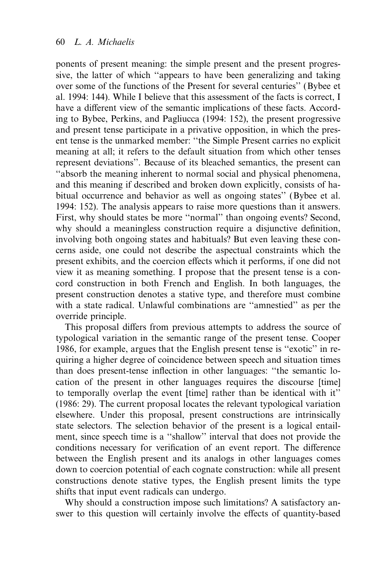ponents of present meaning: the simple present and the present progressive, the latter of which ''appears to have been generalizing and taking over some of the functions of the Present for several centuries'' (Bybee et al. 1994: 144). While I believe that this assessment of the facts is correct, I have a different view of the semantic implications of these facts. According to Bybee, Perkins, and Pagliucca (1994: 152), the present progressive and present tense participate in a privative opposition, in which the present tense is the unmarked member: ''the Simple Present carries no explicit meaning at all; it refers to the default situation from which other tenses represent deviations''. Because of its bleached semantics, the present can ''absorb the meaning inherent to normal social and physical phenomena, and this meaning if described and broken down explicitly, consists of habitual occurrence and behavior as well as ongoing states'' (Bybee et al. 1994: 152). The analysis appears to raise more questions than it answers. First, why should states be more ''normal'' than ongoing events? Second, why should a meaningless construction require a disjunctive definition, involving both ongoing states and habituals? But even leaving these concerns aside, one could not describe the aspectual constraints which the present exhibits, and the coercion effects which it performs, if one did not view it as meaning something. I propose that the present tense is a concord construction in both French and English. In both languages, the present construction denotes a stative type, and therefore must combine with a state radical. Unlawful combinations are ''amnestied'' as per the override principle.

This proposal differs from previous attempts to address the source of typological variation in the semantic range of the present tense. Cooper 1986, for example, argues that the English present tense is ''exotic'' in requiring a higher degree of coincidence between speech and situation times than does present-tense inflection in other languages: ''the semantic location of the present in other languages requires the discourse [time] to temporally overlap the event [time] rather than be identical with it'' (1986: 29). The current proposal locates the relevant typological variation elsewhere. Under this proposal, present constructions are intrinsically state selectors. The selection behavior of the present is a logical entailment, since speech time is a ''shallow'' interval that does not provide the conditions necessary for verification of an event report. The difference between the English present and its analogs in other languages comes down to coercion potential of each cognate construction: while all present constructions denote stative types, the English present limits the type shifts that input event radicals can undergo.

Why should a construction impose such limitations? A satisfactory answer to this question will certainly involve the effects of quantity-based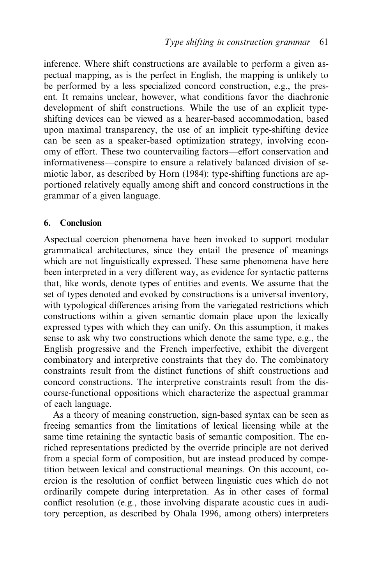inference. Where shift constructions are available to perform a given aspectual mapping, as is the perfect in English, the mapping is unlikely to be performed by a less specialized concord construction, e.g., the present. It remains unclear, however, what conditions favor the diachronic development of shift constructions. While the use of an explicit typeshifting devices can be viewed as a hearer-based accommodation, based upon maximal transparency, the use of an implicit type-shifting device can be seen as a speaker-based optimization strategy, involving economy of effort. These two countervailing factors—effort conservation and informativeness—conspire to ensure a relatively balanced division of semiotic labor, as described by Horn (1984): type-shifting functions are apportioned relatively equally among shift and concord constructions in the grammar of a given language.

#### 6. Conclusion

Aspectual coercion phenomena have been invoked to support modular grammatical architectures, since they entail the presence of meanings which are not linguistically expressed. These same phenomena have here been interpreted in a very different way, as evidence for syntactic patterns that, like words, denote types of entities and events. We assume that the set of types denoted and evoked by constructions is a universal inventory, with typological differences arising from the variegated restrictions which constructions within a given semantic domain place upon the lexically expressed types with which they can unify. On this assumption, it makes sense to ask why two constructions which denote the same type, e.g., the English progressive and the French imperfective, exhibit the divergent combinatory and interpretive constraints that they do. The combinatory constraints result from the distinct functions of shift constructions and concord constructions. The interpretive constraints result from the discourse-functional oppositions which characterize the aspectual grammar of each language.

As a theory of meaning construction, sign-based syntax can be seen as freeing semantics from the limitations of lexical licensing while at the same time retaining the syntactic basis of semantic composition. The enriched representations predicted by the override principle are not derived from a special form of composition, but are instead produced by competition between lexical and constructional meanings. On this account, coercion is the resolution of conflict between linguistic cues which do not ordinarily compete during interpretation. As in other cases of formal conflict resolution (e.g., those involving disparate acoustic cues in auditory perception, as described by Ohala 1996, among others) interpreters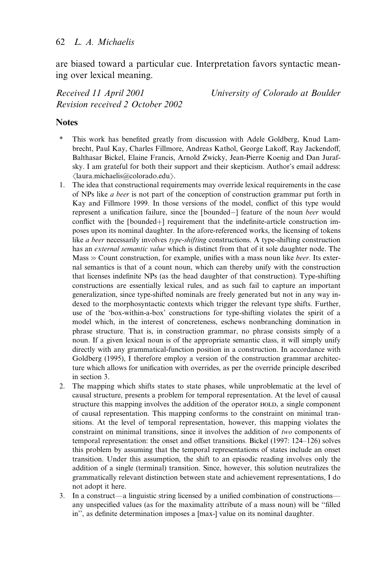are biased toward a particular cue. Interpretation favors syntactic meaning over lexical meaning.

Received 11 April 2001 University of Colorado at Boulder Revision received 2 October 2002

#### **Notes**

- This work has benefited greatly from discussion with Adele Goldberg, Knud Lambrecht, Paul Kay, Charles Fillmore, Andreas Kathol, George Lakoff, Ray Jackendoff, Balthasar Bickel, Elaine Francis, Arnold Zwicky, Jean-Pierre Koenig and Dan Jurafsky. I am grateful for both their support and their skepticism. Author's email address:  $\langle$ laura.michaelis@colorado.edu $\rangle$ .
- 1. The idea that constructional requirements may override lexical requirements in the case of NPs like a beer is not part of the conception of construction grammar put forth in Kay and Fillmore 1999. In those versions of the model, conflict of this type would represent a unification failure, since the [bounded-] feature of the noun beer would conflict with the  $[bounded+]$  requirement that the indefinite-article construction imposes upon its nominal daughter. In the afore-referenced works, the licensing of tokens like *a beer* necessarily involves *type-shifting* constructions. A type-shifting construction has an external semantic value which is distinct from that of it sole daughter node. The  $Mass \gg Count construction, for example, unifies with a mass noun like *beer*. Its exter$ nal semantics is that of a count noun, which can thereby unify with the construction that licenses indefinite NPs (as the head daughter of that construction). Type-shifting constructions are essentially lexical rules, and as such fail to capture an important generalization, since type-shifted nominals are freely generated but not in any way indexed to the morphosyntactic contexts which trigger the relevant type shifts. Further, use of the 'box-within-a-box' constructions for type-shifting violates the spirit of a model which, in the interest of concreteness, eschews nonbranching domination in phrase structure. That is, in construction grammar, no phrase consists simply of a noun. If a given lexical noun is of the appropriate semantic class, it will simply unify directly with any grammatical-function position in a construction. In accordance with Goldberg (1995), I therefore employ a version of the construction grammar architecture which allows for unification with overrides, as per the override principle described in section 3.
- 2. The mapping which shifts states to state phases, while unproblematic at the level of causal structure, presents a problem for temporal representation. At the level of causal structure this mapping involves the addition of the operator HOLD, a single component of causal representation. This mapping conforms to the constraint on minimal transitions. At the level of temporal representation, however, this mapping violates the constraint on minimal transitions, since it involves the addition of two components of temporal representation: the onset and offset transitions. Bickel  $(1997: 124-126)$  solves this problem by assuming that the temporal representations of states include an onset transition. Under this assumption, the shift to an episodic reading involves only the addition of a single (terminal) transition. Since, however, this solution neutralizes the grammatically relevant distinction between state and achievement representations, I do not adopt it here.
- 3. In a construct—a linguistic string licensed by a unified combination of constructions any unspecified values (as for the maximality attribute of a mass noun) will be ''filled in'', as definite determination imposes a [max-] value on its nominal daughter.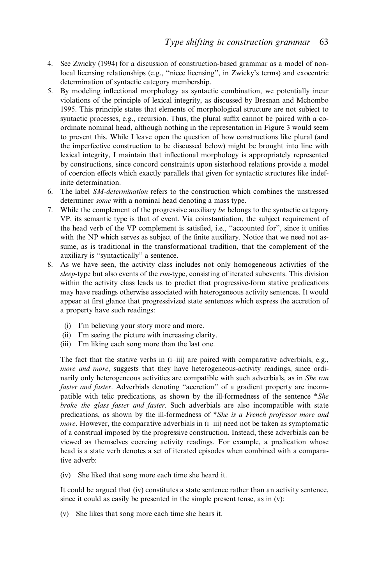- 4. See Zwicky (1994) for a discussion of construction-based grammar as a model of nonlocal licensing relationships (e.g., ''niece licensing'', in Zwicky's terms) and exocentric determination of syntactic category membership.
- 5. By modeling inflectional morphology as syntactic combination, we potentially incur violations of the principle of lexical integrity, as discussed by Bresnan and Mchombo 1995. This principle states that elements of morphological structure are not subject to syntactic processes, e.g., recursion. Thus, the plural suffix cannot be paired with a coordinate nominal head, although nothing in the representation in Figure 3 would seem to prevent this. While I leave open the question of how constructions like plural (and the imperfective construction to be discussed below) might be brought into line with lexical integrity, I maintain that inflectional morphology is appropriately represented by constructions, since concord constraints upon sisterhood relations provide a model of coercion effects which exactly parallels that given for syntactic structures like indefinite determination.
- 6. The label SM-determination refers to the construction which combines the unstressed determiner some with a nominal head denoting a mass type.
- 7. While the complement of the progressive auxiliary be belongs to the syntactic category VP, its semantic type is that of event. Via coinstantiation, the subject requirement of the head verb of the VP complement is satisfied, i.e., ''accounted for'', since it unifies with the NP which serves as subject of the finite auxiliary. Notice that we need not assume, as is traditional in the transformational tradition, that the complement of the auxiliary is ''syntactically'' a sentence.
- 8. As we have seen, the activity class includes not only homogeneous activities of the sleep-type but also events of the *run*-type, consisting of iterated subevents. This division within the activity class leads us to predict that progressive-form stative predications may have readings otherwise associated with heterogeneous activity sentences. It would appear at first glance that progressivized state sentences which express the accretion of a property have such readings:
	- (i) I'm believing your story more and more.
	- (ii) I'm seeing the picture with increasing clarity.
	- (iii) I'm liking each song more than the last one.

The fact that the stative verbs in (i-iii) are paired with comparative adverbials, e.g., more and more, suggests that they have heterogeneous-activity readings, since ordinarily only heterogeneous activities are compatible with such adverbials, as in *She ran* faster and faster. Adverbials denoting "accretion" of a gradient property are incompatible with telic predications, as shown by the ill-formedness of the sentence \*She broke the glass faster and faster. Such adverbials are also incompatible with state predications, as shown by the ill-formedness of \*She is a French professor more and more. However, the comparative adverbials in  $(i$ –iii) need not be taken as symptomatic of a construal imposed by the progressive construction. Instead, these adverbials can be viewed as themselves coercing activity readings. For example, a predication whose head is a state verb denotes a set of iterated episodes when combined with a comparative adverb:

(iv) She liked that song more each time she heard it.

It could be argued that (iv) constitutes a state sentence rather than an activity sentence, since it could as easily be presented in the simple present tense, as in  $(v)$ :

(v) She likes that song more each time she hears it.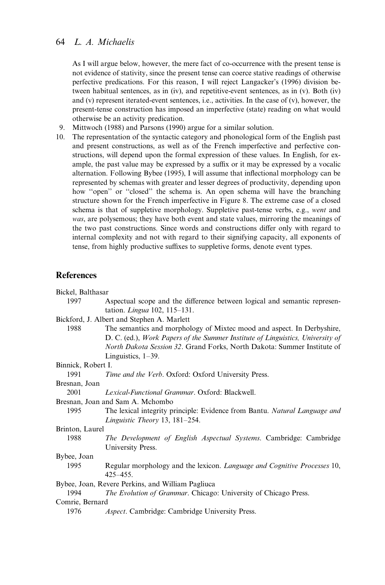As I will argue below, however, the mere fact of co-occurrence with the present tense is not evidence of stativity, since the present tense can coerce stative readings of otherwise perfective predications. For this reason, I will reject Langacker's (1996) division between habitual sentences, as in (iv), and repetitive-event sentences, as in (v). Both (iv) and (v) represent iterated-event sentences, i.e., activities. In the case of (v), however, the present-tense construction has imposed an imperfective (state) reading on what would otherwise be an activity predication.

- 9. Mittwoch (1988) and Parsons (1990) argue for a similar solution.
- 10. The representation of the syntactic category and phonological form of the English past and present constructions, as well as of the French imperfective and perfective constructions, will depend upon the formal expression of these values. In English, for example, the past value may be expressed by a suffix or it may be expressed by a vocalic alternation. Following Bybee (1995), I will assume that inflectional morphology can be represented by schemas with greater and lesser degrees of productivity, depending upon how "open" or "closed" the schema is. An open schema will have the branching structure shown for the French imperfective in Figure 8. The extreme case of a closed schema is that of suppletive morphology. Suppletive past-tense verbs, e.g., went and was, are polysemous; they have both event and state values, mirroring the meanings of the two past constructions. Since words and constructions differ only with regard to internal complexity and not with regard to their signifying capacity, all exponents of tense, from highly productive suffixes to suppletive forms, denote event types.

# **References**  $B:1:1, B:1:1...$

| DICKEI, Daithasal  |                                                                                 |
|--------------------|---------------------------------------------------------------------------------|
| 1997               | Aspectual scope and the difference between logical and semantic represen-       |
|                    | tation. <i>Lingua</i> 102, 115–131.                                             |
|                    | Bickford, J. Albert and Stephen A. Marlett                                      |
| 1988               | The semantics and morphology of Mixtec mood and aspect. In Derbyshire,          |
|                    | D. C. (ed.), Work Papers of the Summer Institute of Linguistics, University of  |
|                    | North Dakota Session 32. Grand Forks, North Dakota: Summer Institute of         |
|                    | Linguistics, $1-39$ .                                                           |
| Binnick, Robert I. |                                                                                 |
| 1991               | <i>Time and the Verb.</i> Oxford: Oxford University Press.                      |
| Bresnan, Joan      |                                                                                 |
| 2001               | Lexical-Functional Grammar, Oxford: Blackwell.                                  |
|                    | Bresnan, Joan and Sam A. Mchombo                                                |
| 1995               | The lexical integrity principle: Evidence from Bantu. Natural Language and      |
|                    | Linguistic Theory 13, 181-254.                                                  |
| Brinton, Laurel    |                                                                                 |
| 1988               | <i>The Development of English Aspectual Systems.</i> Cambridge: Cambridge       |
|                    | University Press.                                                               |
| Bybee, Joan        |                                                                                 |
| 1995               | Regular morphology and the lexicon. <i>Language and Cognitive Processes</i> 10, |
|                    | $425 - 455$ .                                                                   |
|                    | Bybee, Joan, Revere Perkins, and William Pagliuca                               |
| 1994               | The Evolution of Grammar. Chicago: University of Chicago Press.                 |
| Comrie, Bernard    |                                                                                 |
| 1976               | <i>Aspect.</i> Cambridge: Cambridge University Press.                           |
|                    |                                                                                 |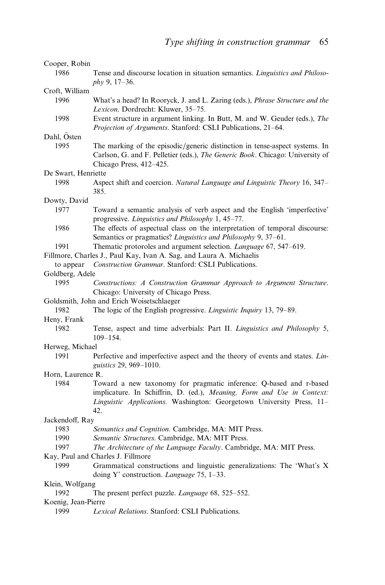| Cooper, Robin       |                                                                                                                                                                                                                              |
|---------------------|------------------------------------------------------------------------------------------------------------------------------------------------------------------------------------------------------------------------------|
| 1986                | Tense and discourse location in situation semantics. <i>Linguistics and Philoso-</i><br><i>phy</i> 9, 17–36.                                                                                                                 |
| Croft, William      |                                                                                                                                                                                                                              |
| 1996                | What's a head? In Rooryck, J. and L. Zaring (eds.), Phrase Structure and the<br>Lexicon. Dordrecht: Kluwer, 35-75.                                                                                                           |
| 1998                | Event structure in argument linking. In Butt, M. and W. Geuder (eds.), The<br>Projection of Arguments. Stanford: CSLI Publications, 21-64.                                                                                   |
| Dahl, Östen         |                                                                                                                                                                                                                              |
| 1995                | The marking of the episodic/generic distinction in tense-aspect systems. In<br>Carlson, G. and F. Pelletier (eds.), The Generic Book. Chicago: University of<br>Chicago Press, 412-425.                                      |
| De Swart, Henriette |                                                                                                                                                                                                                              |
| 1998                | Aspect shift and coercion. Natural Language and Linguistic Theory 16, 347–<br>385.                                                                                                                                           |
| Dowty, David        |                                                                                                                                                                                                                              |
| 1977                | Toward a semantic analysis of verb aspect and the English 'imperfective'<br>progressive. Linguistics and Philosophy 1, 45–77.                                                                                                |
| 1986                | The effects of aspectual class on the interpretation of temporal discourse:<br>Semantics or pragmatics? Linguistics and Philosophy 9, 37–61.                                                                                 |
| 1991                | Thematic protoroles and argument selection. Language 67, 547–619.                                                                                                                                                            |
|                     | Fillmore, Charles J., Paul Kay, Ivan A. Sag, and Laura A. Michaelis                                                                                                                                                          |
| to appear           | Construction Grammar. Stanford: CSLI Publications.                                                                                                                                                                           |
| Goldberg, Adele     |                                                                                                                                                                                                                              |
| 1995                | Constructions: A Construction Grammar Approach to Argument Structure.                                                                                                                                                        |
|                     | Chicago: University of Chicago Press.                                                                                                                                                                                        |
|                     | Goldsmith, John and Erich Woisetschlaeger                                                                                                                                                                                    |
| 1982                | The logic of the English progressive. <i>Linguistic Inquiry</i> 13, 79–89.                                                                                                                                                   |
| Heny, Frank         |                                                                                                                                                                                                                              |
| 1982                | Tense, aspect and time adverbials: Part II. Linguistics and Philosophy 5,<br>$109 - 154.$                                                                                                                                    |
| Herweg, Michael     |                                                                                                                                                                                                                              |
| 1991                | Perfective and imperfective aspect and the theory of events and states. Lin-<br>guistics 29, 969-1010.                                                                                                                       |
| Horn, Laurence R.   |                                                                                                                                                                                                                              |
| 1984                | Toward a new taxonomy for pragmatic inference: Q-based and r-based<br>implicature. In Schiffrin, D. (ed.), Meaning, Form and Use in Context:<br>Linguistic Applications. Washington: Georgetown University Press, 11-<br>42. |
| Jackendoff, Ray     |                                                                                                                                                                                                                              |
| 1983                | Semantics and Cognition. Cambridge, MA: MIT Press.                                                                                                                                                                           |
| 1990                | Semantic Structures. Cambridge, MA: MIT Press.                                                                                                                                                                               |
| 1997                | The Architecture of the Language Faculty. Cambridge, MA: MIT Press.                                                                                                                                                          |
|                     | Kay, Paul and Charles J. Fillmore                                                                                                                                                                                            |
| 1999                | Grammatical constructions and linguistic generalizations: The 'What's X<br>doing Y' construction. <i>Language</i> 75, 1–33.                                                                                                  |
| Klein, Wolfgang     |                                                                                                                                                                                                                              |
| 1992                | The present perfect puzzle. Language 68, 525-552.                                                                                                                                                                            |
| Koenig, Jean-Pierre |                                                                                                                                                                                                                              |
| 1999                | Lexical Relations. Stanford: CSLI Publications.                                                                                                                                                                              |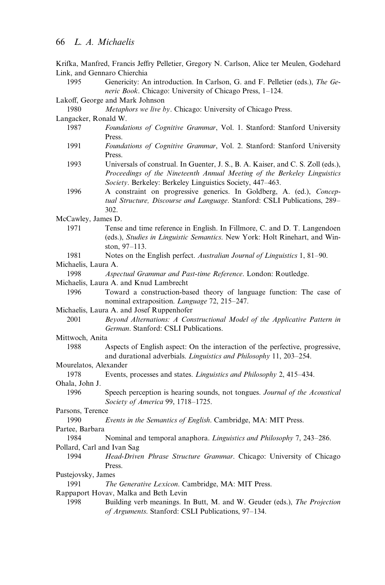Krifka, Manfred, Francis Jeffry Pelletier, Gregory N. Carlson, Alice ter Meulen, Godehard Link, and Gennaro Chierchia

1995 Genericity: An introduction. In Carlson, G. and F. Pelletier (eds.), The Generic Book. Chicago: University of Chicago Press, 1–124.

Lakoff, George and Mark Johnson

1980 Metaphors we live by. Chicago: University of Chicago Press.

Langacker, Ronald W.

- 1987 Foundations of Cognitive Grammar, Vol. 1. Stanford: Stanford University Press.
- 1991 Foundations of Cognitive Grammar, Vol. 2. Stanford: Stanford University Press.
- 1993 Universals of construal. In Guenter, J. S., B. A. Kaiser, and C. S. Zoll (eds.), Proceedings of the Nineteenth Annual Meeting of the Berkeley Linguistics Society. Berkeley: Berkeley Linguistics Society, 447–463.
- 1996 A constraint on progressive generics. In Goldberg, A. (ed.), Conceptual Structure, Discourse and Language. Stanford: CSLI Publications, 289– 302.

McCawley, James D.

- 1971 Tense and time reference in English. In Fillmore, C. and D. T. Langendoen (eds.), Studies in Linguistic Semantics. New York: Holt Rinehart, and Winston, 97–113.
- 1981 Notes on the English perfect. Australian Journal of Linguistics 1, 81–90.
- Michaelis, Laura A.

1998 Aspectual Grammar and Past-time Reference. London: Routledge.

- Michaelis, Laura A. and Knud Lambrecht
	- 1996 Toward a construction-based theory of language function: The case of nominal extraposition. Language 72, 215–247.
- Michaelis, Laura A. and Josef Ruppenhofer
	- 2001 Beyond Alternations: A Constructional Model of the Applicative Pattern in German. Stanford: CSLI Publications.

#### Mittwoch, Anita

1988 Aspects of English aspect: On the interaction of the perfective, progressive, and durational adverbials. Linguistics and Philosophy 11, 203–254.

Mourelatos, Alexander

1978 Events, processes and states. Linguistics and Philosophy 2, 415–434.

Ohala, John J. 1996 Speech perception is hearing sounds, not tongues. Journal of the Acoustical Society of America 99, 1718–1725.

Parsons, Terence

1990 Events in the Semantics of English. Cambridge, MA: MIT Press.

Partee, Barbara

1984 Nominal and temporal anaphora. Linguistics and Philosophy 7, 243–286.

Pollard, Carl and Ivan Sag

1994 Head-Driven Phrase Structure Grammar. Chicago: University of Chicago Press.

Pustejovsky, James

1991 The Generative Lexicon. Cambridge, MA: MIT Press.

Rappaport Hovav, Malka and Beth Levin<br>1998 Building verb meanings. In

Building verb meanings. In Butt, M. and W. Geuder (eds.), The Projection of Arguments. Stanford: CSLI Publications, 97–134.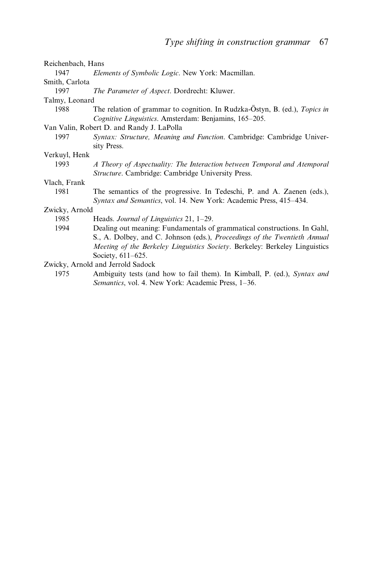| Reichenbach, Hans |                                                                                                                                |
|-------------------|--------------------------------------------------------------------------------------------------------------------------------|
| 1947              | Elements of Symbolic Logic. New York: Macmillan.                                                                               |
| Smith, Carlota    |                                                                                                                                |
| 1997              | The Parameter of Aspect. Dordrecht: Kluwer.                                                                                    |
| Talmy, Leonard    |                                                                                                                                |
| 1988              | The relation of grammar to cognition. In Rudzka-Östyn, B. (ed.), Topics in                                                     |
|                   | Cognitive Linguistics. Amsterdam: Benjamins, 165–205.                                                                          |
|                   | Van Valin, Robert D. and Randy J. LaPolla                                                                                      |
| 1997              | Syntax: Structure, Meaning and Function. Cambridge: Cambridge Univer-<br>sity Press.                                           |
| Verkuyl, Henk     |                                                                                                                                |
| 1993              | A Theory of Aspectuality: The Interaction between Temporal and Atemporal                                                       |
|                   | Structure. Cambridge: Cambridge University Press.                                                                              |
| Vlach, Frank      |                                                                                                                                |
| 1981              | The semantics of the progressive. In Tedeschi, P. and A. Zaenen (eds.),                                                        |
|                   | Syntax and Semantics, vol. 14. New York: Academic Press, 415-434.                                                              |
| Zwicky, Arnold    |                                                                                                                                |
| 1985              | Heads. Journal of Linguistics 21, 1–29.                                                                                        |
| 1994              | Dealing out meaning: Fundamentals of grammatical constructions. In Gahl,                                                       |
|                   | S., A. Dolbey, and C. Johnson (eds.), <i>Proceedings of the Twentieth Annual</i>                                               |
|                   | Meeting of the Berkeley Linguistics Society. Berkeley: Berkeley Linguistics                                                    |
|                   | Society, 611-625.                                                                                                              |
|                   | Zwicky, Arnold and Jerrold Sadock                                                                                              |
| 1975              | Ambiguity tests (and how to fail them). In Kimball, P. (ed.), Syntax and<br>Semantics, vol. 4. New York: Academic Press, 1-36. |
|                   |                                                                                                                                |